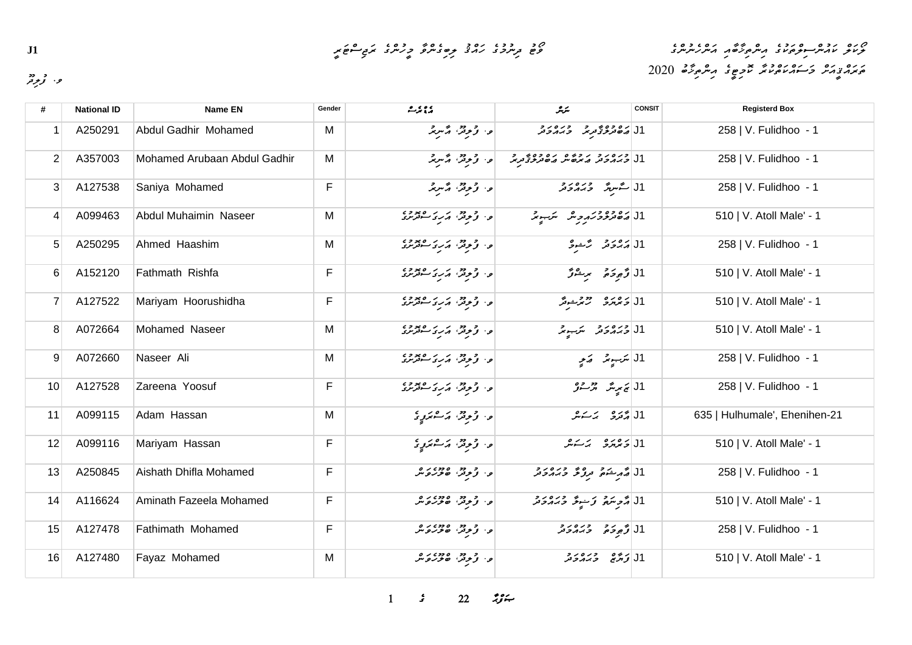*sCw7q7s5w7m< o<n9nOoAw7o< sCq;mAwBoEw7q<m; wBm;vB* م من المرة المرة المرة المرجع المرجع في المركبة 2020<br>مجم*د المريض المربوط المربع المرجع في المراجع المركبة* 

| #              | <b>National ID</b> | Name EN                      | Gender      | بروبره                                                     | ستريش                                                  | <b>CONSIT</b> | <b>Registerd Box</b>          |
|----------------|--------------------|------------------------------|-------------|------------------------------------------------------------|--------------------------------------------------------|---------------|-------------------------------|
|                | A250291            | Abdul Gadhir Mohamed         | M           | <mark>ءِ وُجوترُ، رُ</mark> سِرَتُرُ                       | 11 رەپروتۇمبر مەرەر<br>11 ھەمروتۇمبر مەمەم             |               | 258   V. Fulidhoo - 1         |
| $\overline{2}$ | A357003            | Mohamed Arubaan Abdul Gadhir | M           | ا د و توفر، گ <i>ېږي</i> گ                                 | 11 دره رو به دوه به ده دوه در د                        |               | 258   V. Fulidhoo - 1         |
| 3              | A127538            | Saniya Mohamed               | $\mathsf F$ | ه وګونژ، ژمېر                                              | J1 گەسى <i>گە قەتمەد قى</i> ر                          |               | 258   V. Fulidhoo - 1         |
| $\overline{4}$ | A099463            | Abdul Muhaimin Naseer        | M           | ه . و دور از مرکز معدو ،<br>او . و فوفر از مرکز مستقر مرکز | 11 رەمور <i>و دېرو</i> مىش ترىپونمى                    |               | 510   V. Atoll Male' - 1      |
| 5              | A250295            | Ahmed Haashim                | M           | ه . و ود . د بر عبد د ،                                    | J1 <i>مَدْوَنْ گَ</i> ىمْوْ                            |               | 258   V. Fulidhoo - 1         |
| 6              | A152120            | Fathmath Rishfa              | $\mathsf F$ | ه . و ووړ کم د عبدو ،                                      | J1 <i>وَّج</i> وحَۃُ مِشْرَ                            |               | 510   V. Atoll Male' - 1      |
| $\overline{7}$ | A127522            | Mariyam Hoorushidha          | $\mathsf F$ | ه ۱۶ وګونژ کم د کامورو د د د                               | J1  <i>ۇيۇيۇ تەيمىغ</i> ىنى <i>گ</i>                   |               | 510   V. Atoll Male' - 1      |
| 8              | A072664            | Mohamed Naseer               | M           | ه . و ود . د بر عبد د ،                                    | J1 <i>وَبَهُ دَوْرٌ</i> سَنِبِيرٌ                      |               | 510   V. Atoll Male' - 1      |
| 9              | A072660            | Naseer Ali                   | M           | ه . و وقرا م رئ سعوده                                      | 1ل س <i>ز ٻير ڏو</i> په                                |               | 258   V. Fulidhoo - 1         |
| 10             | A127528            | Zareena Yoosuf               | F           | ه ۱۶ وګونژ کم د کاموری د ده په ده د                        | 1ل ئ <sub>ے میر</sub> یٹر پر جنور                      |               | 258   V. Fulidhoo - 1         |
| 11             | A099115            | Adam Hassan                  | M           | ه . و وفرس كا سوري ك                                       | J1 مُحَمَّرٌ مَرَسَمْرٌ                                |               | 635   Hulhumale', Ehenihen-21 |
| 12             | A099116            | Mariyam Hassan               | $\mathsf F$ | ه . و وه . د څمکوی                                         | J1 <i>ئى تەرەپ بىر ئى</i> ش                            |               | 510   V. Atoll Male' - 1      |
| 13             | A250845            | Aishath Dhifla Mohamed       | F           | ه د دو ووه دره<br>د ترمونه <i>ه ورو</i> ند                 | 1ل <i>مەم خەم بورى دىمەدى</i> ر                        |               | 258   V. Fulidhoo - 1         |
| 14             | A116624            | Aminath Fazeela Mohamed      | $\mathsf F$ | ه د ود ۱۵۶۵ ورم د ه                                        | 11 مُ <i>جِسَعُو</i> كَ <i>بِيرِيوْ حُمَدُهُ حَدَّ</i> |               | 510   V. Atoll Male' - 1      |
| 15             | A127478            | Fathimath Mohamed            | F           | ه و دو دوده ده و                                           | 11 <i>وُجِودَه ويرورو</i>                              |               | 258   V. Fulidhoo - 1         |
| 16             | A127480            | Fayaz Mohamed                | M           | ه . و دو ۵۶۰۰ و .<br>د توفر، <i>ه ورو</i> س                | 1ل <i>ق<sup>ا</sup>مرچ د جره د</i> و                   |               | 510   V. Atoll Male' - 1      |

 $1$  *s* 22  $29$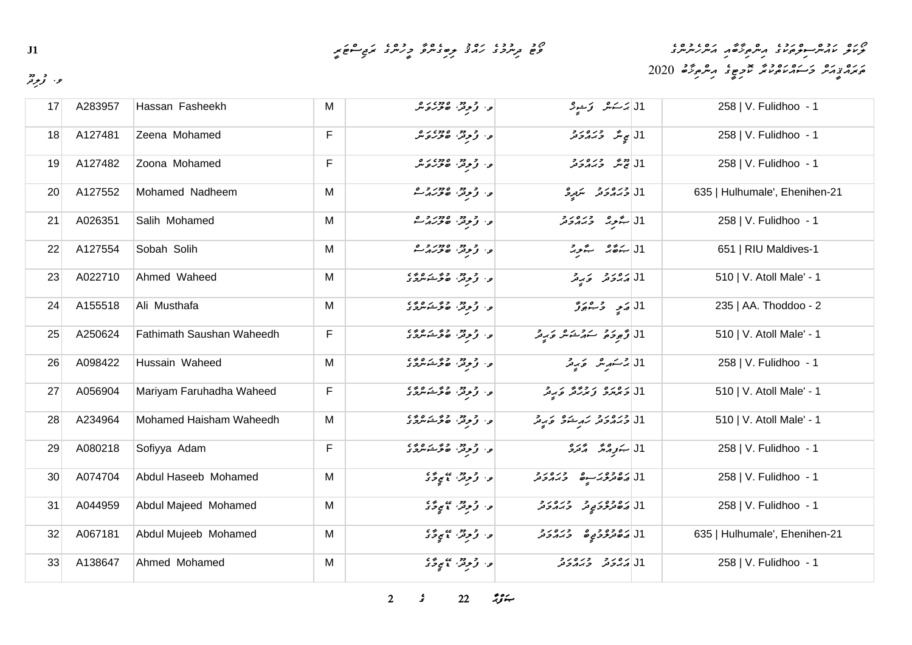*sCw7q7s5w7m< o<n9nOoAw7o< sCq;mAwBoEw7q<m; wBm;vB* م من المرة المرة المرة المرجع المرجع في المركبة 2020<br>مجم*د المريض المربوط المربع المرجع في المراجع المركبة* 

| 17 | A283957 | Hassan Fasheekh           | M           | ه د ود وده ده در پا                 | J1 ټر <i>ندنگر تی شی</i> ژ                | 258   V. Fulidhoo - 1         |
|----|---------|---------------------------|-------------|-------------------------------------|-------------------------------------------|-------------------------------|
| 18 | A127481 | Zeena Mohamed             | F           | ه و دو ووه ده ده.<br>د تومونه هوروس | J1 <sub>ىم</sub> ىگە ئ <i>ەندە دە</i>     | 258   V. Fulidhoo - 1         |
| 19 | A127482 | Zoona Mohamed             | F           | ه وجود ه دو، ده                     | J1 تيمگر <i>محده د و</i>                  | 258   V. Fulidhoo - 1         |
| 20 | A127552 | Mohamed Nadheem           | M           | ه و ده محمد ده و                    | J1 <i>وبروبر و</i> س <i>ربر</i> و         | 635   Hulhumale', Ehenihen-21 |
| 21 | A026351 | Salih Mohamed             | M           | و ووده معدد وه                      | J1 يۇر <i>ە دېم</i> ەدىر                  | 258   V. Fulidhoo - 1         |
| 22 | A127554 | Sobah Solih               | M           | ه و ده مورده و                      |                                           | 651   RIU Maldives-1          |
| 23 | A022710 | Ahmed Waheed              | M           | ه . و وو. ه و شهره و د و            | J1 <i>مَدْوَنْھُ وَب</i> ِيْرُ            | 510   V. Atoll Male' - 1      |
| 24 | A155518 | Ali Musthafa              | M           | و. وُمُحِمَّرٌ، ھُمُوَڪْمُبْرَوَى   | 1ل <sub>ھ</sub> َمِي <sub>ح</sub> مد م    | 235   AA. Thoddoo - 2         |
| 25 | A250624 | Fathimath Saushan Waheedh | $\mathsf F$ | و. وُمُحِمَّرٌ، ھُمُوَڪْمُبْرَوَى   | 11 <i>وڻجوحو سنه شڪر وَبرِيز</i>          | 510   V. Atoll Male' - 1      |
| 26 | A098422 | Hussain Waheed            | M           | ه . و وفران و ما ده و د             | J1 بر سَمبر سَر مَ <sub>مب</sub> رتر      | 258   V. Fulidhoo - 1         |
| 27 | A056904 | Mariyam Faruhadha Waheed  | $\mathsf F$ | و. وُمُحِمَّرٌ، ھُمُوَڪْمُبْرَوَى   | 11 <i>كەبەرە بەدەنگە ھ</i> ېبەر           | 510   V. Atoll Male' - 1      |
| 28 | A234964 | Mohamed Haisham Waheedh   | M           | و . و وفراه و و د ده و و            | 11 ديرورو رم شرق ځېږمتر                   | 510   V. Atoll Male' - 1      |
| 29 | A080218 | Sofiyya Adam              | $\mathsf F$ | ە بۇ دەر ھۇشەھەر                    | J1 بەرەپۇ مەمر <i>ە</i>                   | 258   V. Fulidhoo - 1         |
| 30 | A074704 | Abdul Haseeb Mohamed      | M           | و· ۇروژ، ئاپاۋى                     | 11 رەدورىي درەرد                          | 258   V. Fulidhoo - 1         |
| 31 | A044959 | Abdul Majeed Mohamed      | M           | ه . و وقرا ، و و د                  | 11 رەپورى بار دىمەدىر<br>11 ھەمرىرى بار ئ | 258   V. Fulidhoo - 1         |
| 32 | A067181 | Abdul Mujeeb Mohamed      | M           | و . و وفرا ، مومر                   | 11 رەدەد ەرەرد                            | 635   Hulhumale', Ehenihen-21 |
| 33 | A138647 | Ahmed Mohamed             | M           | و· ۇرۇژ، ئېچ ۋى                     | J1 ג'ו פינסייני                           | 258   V. Fulidhoo - 1         |

 $2$  *s*  $22$  *z***<sub>3</sub>**  $\leftarrow$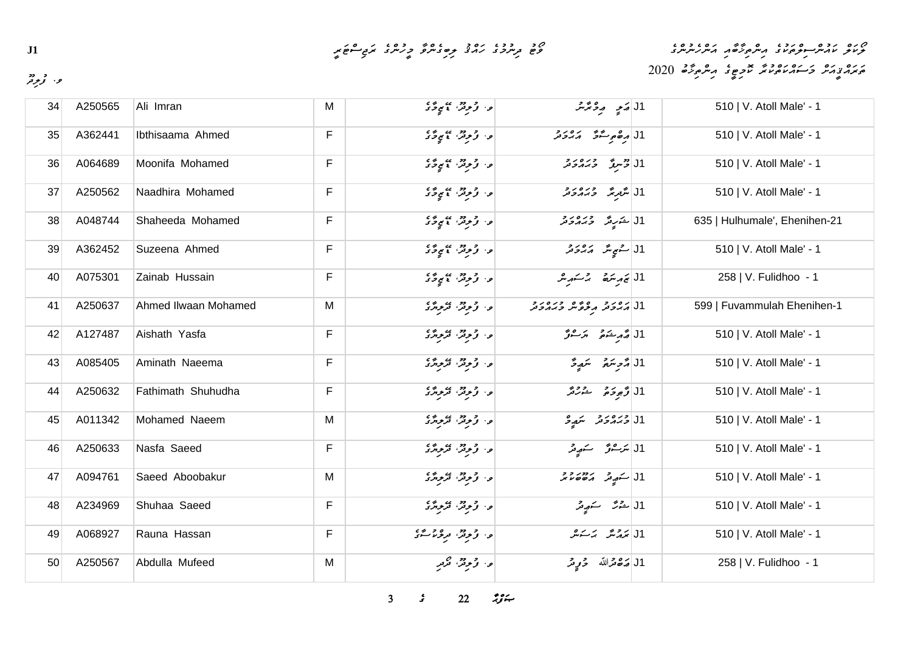*sCw7q7s5w7m< o<n9nOoAw7o< sCq;mAwBoEw7q<m; wBm;vB* م من المرة المرة المرة المرجع المرجع في المركبة 2020<br>مجم*د المريض المربوط المربع المرجع في المراجع المركبة* 

| 34 | A250565 | Ali Imran            | M            | ه . ۇجەنز، "ئېچ ۋى                     | 1ل  رَمِ په دِعْرَ تَرْ تَرْ     | 510   V. Atoll Male' - 1      |
|----|---------|----------------------|--------------|----------------------------------------|----------------------------------|-------------------------------|
| 35 | A362441 | Ibthisaama Ahmed     | F            | ا د و تونژ، په پوځو                    | 11 رەموگۇ مەدر                   | 510   V. Atoll Male' - 1      |
| 36 | A064689 | Moonifa Mohamed      | F            | و· ژوند، عبود د                        | J1 تۇس <i>بۇ دېم</i> ەد تە       | 510   V. Atoll Male' - 1      |
| 37 | A250562 | Naadhira Mohamed     | F            | ه . و وفرا ، ، ، و ،                   | 11 ب <i>روبر ديرور</i> و         | 510   V. Atoll Male' - 1      |
| 38 | A048744 | Shaheeda Mohamed     | F            | و٠ وګونژ، ٤ پېڅو                       | J1 خىرى <i>گە جەم</i> ردىر       | 635   Hulhumale', Ehenihen-21 |
| 39 | A362452 | Suzeena Ahmed        | $\mathsf F$  | ه . ژونژ، ، ، ، وژ                     | J1 ئىمپ <i>ىر مەدەن</i> ر        | 510   V. Atoll Male' - 1      |
| 40 | A075301 | Zainab Hussain       | $\mathsf{F}$ | ا د و تونژ، په پوځو                    | J1 <i>تم مریکھ پر شہریٹر</i>     | 258   V. Fulidhoo - 1         |
| 41 | A250637 | Ahmed Ilwaan Mohamed | M            | د و ژوند، ترویز د                      | 11 كەبرو مۇھەر دىكەدىر           | 599   Fuvammulah Ehenihen-1   |
| 42 | A127487 | Aishath Yasfa        | F            | ه· وڅونژ، تر <i>ج</i> رگری             | J1 مەم ھەشىمۇ بىر <i>ھەرق</i>    | 510   V. Atoll Male' - 1      |
| 43 | A085405 | Aminath Naeema       | F            | ه . و وفر محروری                       | 1ل م <i>مَّحِسَمَّة سَهِ</i> دَّ | 510   V. Atoll Male' - 1      |
| 44 | A250632 | Fathimath Shuhudha   | $\mathsf F$  | ه . و وده شعر و د ،                    | J1 <i>وَّجِوَة هُ</i> رْتَدُ     | 510   V. Atoll Male' - 1      |
| 45 | A011342 | Mohamed Naeem        | M            | د و تروژه تر <i>و</i> رد ک             | J1 <i>وُټرونو سَمِي</i> و        | 510   V. Atoll Male' - 1      |
| 46 | A250633 | Nasfa Saeed          | $\mathsf F$  | ه . و دو به دو ،<br>مستقرح دو المتوافر | J1 يترشوش ست <i>مو</i> تتر       | 510   V. Atoll Male' - 1      |
| 47 | A094761 | Saeed Aboobakur      | M            | ه وقوير محرورة                         | J1 ڪوپٽر م <i>صصد پر</i>         | 510   V. Atoll Male' - 1      |
| 48 | A234969 | Shuhaa Saeed         | F            | ه . و وده محروره .                     | J1 گے ش <i>مپ</i> ور             | 510   V. Atoll Male' - 1      |
| 49 | A068927 | Rauna Hassan         | $\mathsf F$  | ه . و ود . و و و و ،                   | J1 <i>بَدَيْرَ بَرْسَ</i> سْ     | 510   V. Atoll Male' - 1      |
| 50 | A250567 | Abdulla Mufeed       | M            | ه و وده شعر                            | J1 كەھەراللە   ق.مومتر           | 258   V. Fulidhoo - 1         |

**3** *s* **22** *z***<sub>***3i***</sub>**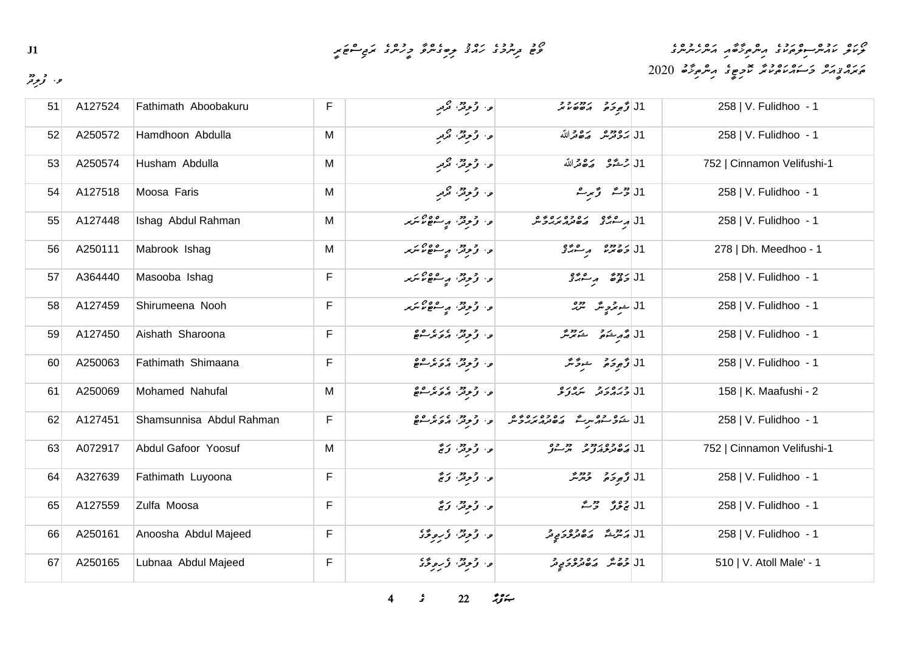*sCw7q7s5w7m< o<n9nOoAw7o< sCq;mAwBoEw7q<m; wBm;vB* م من المرة المرة المرة المرجع المرجع في المركبة 2020<br>مجم*د المريض المربوط المربع المرجع في المراجع المركبة* 

| 51 | A127524 | Fathimath Aboobakuru     | $\mathsf{F}$ | و· وُوِيْرٌ، نُزْمِرِ      | 11 زُودِدَه مصصر                                       | 258   V. Fulidhoo - 1      |
|----|---------|--------------------------|--------------|----------------------------|--------------------------------------------------------|----------------------------|
| 52 | A250572 | Hamdhoon Abdulla         | M            | ه . وٌموتش ترمرِ           | J1 يَرْوَمُوسْ     يَرْهُ قَرْاللّهِ                   | 258   V. Fulidhoo - 1      |
| 53 | A250574 | Husham Abdulla           | M            | أوس وحوقرش اقرمر           | J1 تُشَوَّرُ صَصْغَراللَّه                             | 752   Cinnamon Velifushi-1 |
| 54 | A127518 | Moosa Faris              | M            | ه . وٌموثِرٌ، تُرْمِرِ     | J1 تۇشە ئەبرىشە                                        | 258   V. Fulidhoo - 1      |
| 55 | A127448 | Ishag Abdul Rahman       | M            | ه . و وده په موه شمه       | 11 رعي مقدر مورود م                                    | 258   V. Fulidhoo - 1      |
| 56 | A250111 | Mabrook Ishag            | M            | ه . و وحق مر ۵۵۵ مرد       | J1 دوموه مسم <i>دة</i>                                 | 278   Dh. Meedhoo - 1      |
| 57 | A364440 | Masooba Ishag            | F            | ه . و وفرا ر مقام شهر      | J1 دودې م <i>ې</i> شتو                                 | 258   V. Fulidhoo - 1      |
| 58 | A127459 | Shirumeena Nooh          | $\mathsf F$  | ه . و ووه اله عام مكر .    | 11 غو <i>مر<sub>م</sub> شرق میں</i><br>1               | 258   V. Fulidhoo - 1      |
| 59 | A127450 | Aishath Sharoona         | F            | ه . و دو ، ده ده ه         | 11 <i>۾ م شمھ</i> شمسٽر                                | 258   V. Fulidhoo - 1      |
| 60 | A250063 | Fathimath Shimaana       | $\mathsf F$  | ه . و دو ، ده ده ه ه       | 1ل <i>ى ئۇ بۇ جۇ</i> ئىش ئىش ئىش                       | 258   V. Fulidhoo - 1      |
| 61 | A250069 | Mohamed Nahufal          | M            | ه . و دو ، در ، وه         | J1 <i>ډېره دو سره د</i> و                              | 158   K. Maafushi - 2      |
| 62 | A127451 | Shamsunnisa Abdul Rahman | F            |                            |                                                        | 258   V. Fulidhoo - 1      |
| 63 | A072917 | Abdul Gafoor Yoosuf      | M            | ا و . و توفش آوانج         | 11 <i>ړه ده بردد د</i> ده ده<br>11 <i>ډه تر د د بر</i> | 752   Cinnamon Velifushi-1 |
| 64 | A327639 | Fathimath Luyoona        | F            | ه . وُمِعْرٌ . وَمَحَّ     | J1 <i>وَّج</i> وحَہ مَحمَّد شَر                        | 258   V. Fulidhoo - 1      |
| 65 | A127559 | Zulfa Moosa              | $\mathsf{F}$ | ا و . و توفش کوچ           | J1 يحوز وحث                                            | 258   V. Fulidhoo - 1      |
| 66 | A250161 | Anoosha Abdul Majeed     | $\mathsf F$  | و- وُوِيْرٌ، وَرِهِ وُءُ   | J1 كەنترىش كەھ <sup>ر</sup> <i>ھەتر خرىق قر</i>        | 258   V. Fulidhoo - 1      |
| 67 | A250165 | Lubnaa Abdul Majeed      | $\mathsf F$  | ه· وُمِرْشٌ وَرِهِ مُحَمَّ | 11 تو <i>ھ شہر ماہ موتر تر تو</i> تر                   | 510   V. Atoll Male' - 1   |

*4 s* 22 *i*<sub>s</sub> $\approx$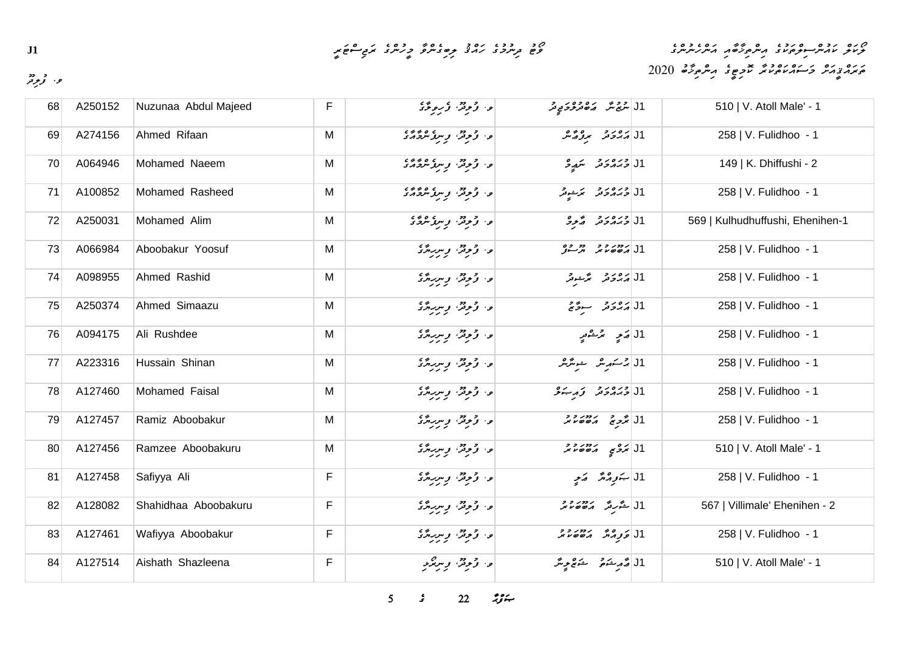*sCw7q7s5w7m< o<n9nOoAw7o< sCq;mAwBoEw7q<m; wBm;vB* م من المرة المرة المرة المرجع المرجع في المركبة 2020<br>مجم*د المريض المربوط المربع المرجع في المراجع المركبة* 

| 68 | A250152 | Nuzunaa Abdul Majeed | $\mathsf{F}$ | ء وقويق وروقوق                  | 11 مرچ مگر پر <i>۱۹۶۵ و</i> د                                                                                                                                                                                                                           | 510   V. Atoll Male' - 1         |
|----|---------|----------------------|--------------|---------------------------------|---------------------------------------------------------------------------------------------------------------------------------------------------------------------------------------------------------------------------------------------------------|----------------------------------|
| 69 | A274156 | Ahmed Rifaan         | M            | و· وقوش وسومعدادي               | J1 <i>הٔ بروژ بروژ</i> یر                                                                                                                                                                                                                               | 258   V. Fulidhoo - 1            |
| 70 | A064946 | Mohamed Naeem        | M            | د کاروژه و سرگانده د د          | J1 <i>دبره دو سَم</i> ِهْ                                                                                                                                                                                                                               | 149   K. Dhiffushi - 2           |
| 71 | A100852 | Mohamed Rasheed      | M            | و· وُوِيْنَ وِسِدْسْهُ اللهُ وَ | J1 <i>2222 بم مؤس</i> ور                                                                                                                                                                                                                                | 258   V. Fulidhoo - 1            |
| 72 | A250031 | Mohamed Alim         | M            | و· وقوقرُ وسِوَسْرَةٌ وَ        | J1 <i>وبروبرو ومُ</i> ور                                                                                                                                                                                                                                | 569   Kulhudhuffushi, Ehenihen-1 |
| 73 | A066984 | Aboobakur Yoosuf     | M            | أوسوقوش وسربردمى                | J1 كەن بور بور بور بور                                                                                                                                                                                                                                  | 258   V. Fulidhoo - 1            |
| 74 | A098955 | Ahmed Rashid         | M            | ء وقوش وسرائدة                  | J1 <i>مَدْدَ</i> تر بَرَّسْنَرْ                                                                                                                                                                                                                         | 258   V. Fulidhoo - 1            |
| 75 | A250374 | Ahmed Simaazu        | M            | ء وقوش وسرائرة                  | J1 <i>مەدەم</i> س <i>وڭتى</i>                                                                                                                                                                                                                           | 258   V. Fulidhoo - 1            |
| 76 | A094175 | Ali Rushdee          | M            | ء وقوش وسرائدة                  | 1ل  ر <i>کو بر</i> میشور                                                                                                                                                                                                                                | 258   V. Fulidhoo - 1            |
| 77 | A223316 | Hussain Shinan       | M            | و• وفوقد وسربردمی               | J1 برسکوپٹر ہو <i>سٹریٹر</i>                                                                                                                                                                                                                            | 258   V. Fulidhoo - 1            |
| 78 | A127460 | Mohamed Faisal       | M            | أوسوقوش وسربردمى                | J1 <i>ۋىزەدە تەبىنۇ</i>                                                                                                                                                                                                                                 | 258   V. Fulidhoo - 1            |
| 79 | A127457 | Ramiz Aboobakur      | M            | أوسوقوش وسيتردى                 | 11 تُرْحِي مُ <i>نَ مُعَامَدٌ</i>                                                                                                                                                                                                                       | 258   V. Fulidhoo - 1            |
| 80 | A127456 | Ramzee Aboobakuru    | M            | أور وقوفرا وسرارونج             | 11 <i>برڈ</i> ی م <i>صوب د</i>                                                                                                                                                                                                                          | 510   V. Atoll Male' - 1         |
| 81 | A127458 | Safiyya Ali          | F            | ه . و وده و سر از ؟             | 1ل  <i>سنو ۾ ٿڏ ھي</i>                                                                                                                                                                                                                                  | 258   V. Fulidhoo - 1            |
| 82 | A128082 | Shahidhaa Aboobakuru | $\mathsf F$  | ه . و وفق و سربرگری             | J1 شَرِيرٌ <i>مُقْعَة بِ</i>                                                                                                                                                                                                                            | 567   Villimale' Ehenihen - 2    |
| 83 | A127461 | Wafiyya Aboobakur    | $\mathsf F$  | أوسوقوش وسربردمى                | $\begin{array}{cc} \mathcal{E}_{1} & \mathcal{E}_{2} & \mathcal{E}_{3} & \mathcal{E}_{4} \\ \mathcal{E}_{5} & \mathcal{E}_{6} & \mathcal{E}_{7} & \mathcal{E}_{8} \\ \mathcal{E}_{7} & \mathcal{E}_{8} & \mathcal{E}_{9} & \mathcal{E}_{1} \end{array}$ | 258   V. Fulidhoo - 1            |
| 84 | A127514 | Aishath Shazleena    | $\mathsf F$  | ه وتوفق وسرگرو                  | J1 ۾ُبرِڪوَ ڪوچونگر                                                                                                                                                                                                                                     | 510   V. Atoll Male' - 1         |

 $5$   $\dot{5}$   $22$   $\ddot{5}$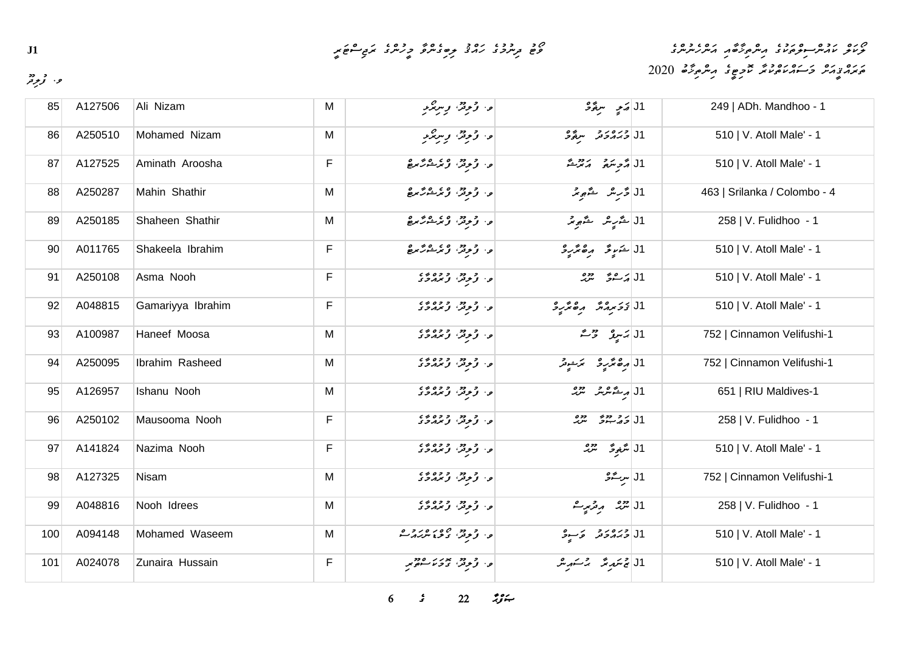*sCw7q7s5w7m< o<n9nOoAw7o< sCq;mAwBoEw7q<m; wBm;vB* م من المرة المرة المرة المرجع المرجع في المركبة 2020<br>مجم*د المريض المربوط المربع المرجع في المراجع المركبة* 

| 85  | A127506 | Ali Nizam         | M           | ه· وڅونه وسرچو                               | J1 <i>ڇُوِ سِهُوَ</i>                        | 249   ADh. Mandhoo - 1       |
|-----|---------|-------------------|-------------|----------------------------------------------|----------------------------------------------|------------------------------|
| 86  | A250510 | Mohamed Nizam     | M           | و- وُفِرُدْنَ وِسِرْمَوْرِ                   | J1 <i>دبروب</i> و سِهْرُ                     | 510   V. Atoll Male' - 1     |
| 87  | A127525 | Aminath Aroosha   | F           | و· وُمِعْرُ، ومن مشركتها و                   | J1 مُرْحِسَة <i>ُ مَعْنُ</i> شَ              | 510   V. Atoll Male' - 1     |
| 88  | A250287 | Mahin Shathir     | M           | و. وُمِنْ وْمُرْشْرُمْهِمْ                   | 11 <b>ئ</b> ربىر مۇھ <sub>و</sub> بر         | 463   Srilanka / Colombo - 4 |
| 89  | A250185 | Shaheen Shathir   | M           | و. وُمُحِمَّرُ، وَمَرْشَدَتَمْ مِعْ          | 11 ڪرپر ڪ <sub>ي</sub> وٽر                   | 258   V. Fulidhoo - 1        |
| 90  | A011765 | Shakeela Ibrahim  | $\mathsf F$ | والمحرور والمرشور مع                         | J1 خىرى <i>گە مەھگرى</i> گ                   | 510   V. Atoll Male' - 1     |
| 91  | A250108 | Asma Nooh         | $\mathsf F$ | ه وقوته ووه به                               | J1 كەشى <del>ت</del> ە ئىر <i>بى</i>         | 510   V. Atoll Male' - 1     |
| 92  | A048815 | Gamariyya Ibrahim | $\mathsf F$ | ه وتونژ و ده ده                              | 11 ئۇ <i>خىرمىدىگە مەھەتگەي</i> گ            | 510   V. Atoll Male' - 1     |
| 93  | A100987 | Haneef Moosa      | M           | ه . و دو و وه و .<br>د تومن تومدو .          | 1ل برسو <sup>م</sup> ة قرمسمّ                | 752   Cinnamon Velifushi-1   |
| 94  | A250095 | Ibrahim Rasheed   | M           | ه . و دو . وه ه و .<br>  و . و د شهر و د .   | J1 <sub>م</sub> ەھم <i>گرى</i> كىشى <i>م</i> | 752   Cinnamon Velifushi-1   |
| 95  | A126957 | Ishanu Nooh       | M           |                                              | J1 م <i>ِشَمَّرْتَرٌ</i> م <i>ُرْبُّرٌ</i>   | 651   RIU Maldives-1         |
| 96  | A250102 | Mausooma Nooh     | F           | ه وتونژ و ده ده                              | $22 - 22 - 11$                               | 258   V. Fulidhoo - 1        |
| 97  | A141824 | Nazima Nooh       | $\mathsf F$ | ه . و دو و وه و و.<br>ه . و د ش . و سمار و و | J1 سَمْعِ دَمَّ مَسْتَدَّ                    | 510   V. Atoll Male' - 1     |
| 98  | A127325 | Nisam             | M           | ه وتونژ و ده ده                              | 11 <mark>سرسە</mark> مى                      | 752   Cinnamon Velifushi-1   |
| 99  | A048816 | Nooh Idrees       | M           | د او دو و وه و د                             | J1 تېرپ <sub>، مو</sub> مر <sub>ىب</sub> ە   | 258   V. Fulidhoo - 1        |
| 100 | A094148 | Mohamed Waseem    | M           | و . و وه مه مه و د و د و ه                   | J1 <i>ۋېزو دۆ</i> ئەسپى                      | 510   V. Atoll Male' - 1     |
| 101 | A024078 | Zunaira Hussain   | F           | ه . و وه بور ر وه .                          | J1 ىن ئىرىدىگە كى <sup>م سە</sup> مەيىر      | 510   V. Atoll Male' - 1     |

 $6$   $\frac{1}{5}$   $22$   $\frac{1}{5}$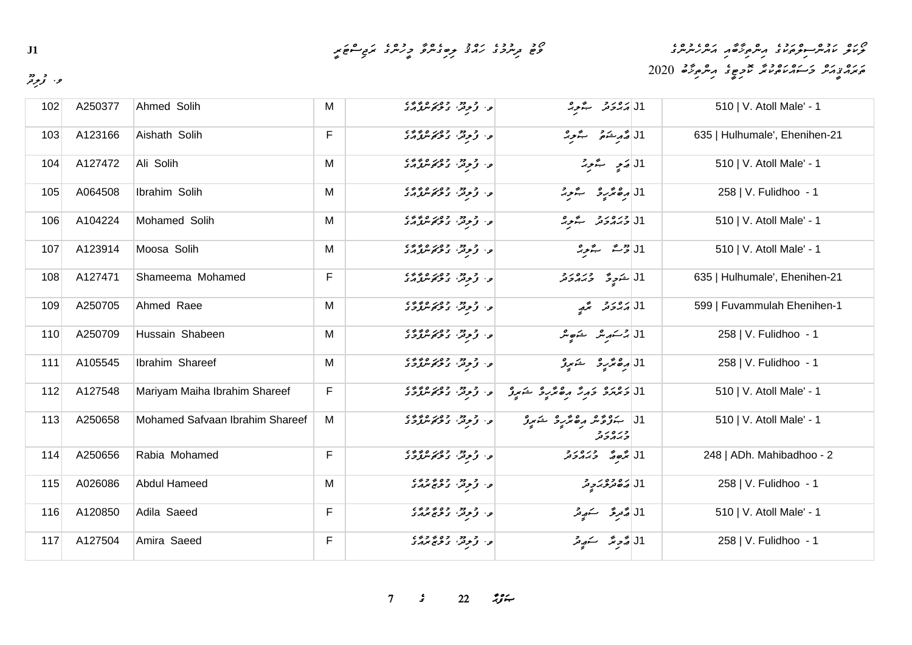*sCw7q7s5w7m< o<n9nOoAw7o< sCq;mAwBoEw7q<m; wBm;vB* م من المرة المرة المرة المرجع المرجع في المركبة 2020<br>مجم*د المريض المربوط المربع المرجع في المراجع المركبة* 

| 102 | A250377 | Ahmed Solih                     | M |                                                        | J1 <i>גې</i> رد تر س <sup>ې</sup> ربر                                        | 510   V. Atoll Male' - 1      |
|-----|---------|---------------------------------|---|--------------------------------------------------------|------------------------------------------------------------------------------|-------------------------------|
| 103 | A123166 | Aishath Solih                   | F | و وتونز ووړه وووه                                      | J1 مۇمەستىق سۇم <i>ۇ</i> ر                                                   | 635   Hulhumale', Ehenihen-21 |
| 104 | A127472 | Ali Solih                       | M | ه . و دو . وه د ه و و و .<br>د . و د د . و د کاربرد .  | J1 <i>ھَ</i> مِ سَ <i>مَوت</i> ُ                                             | 510   V. Atoll Male' - 1      |
| 105 | A064508 | Ibrahim Solih                   | M | ه . و دو . وه د ه د د .<br>او . و وفر . د نوم سروم د د | J1 رەئزى <sub>ي</sub> ۇ بە <sub>ئ</sub> ور                                   | 258   V. Fulidhoo - 1         |
| 106 | A104224 | Mohamed Solih                   | M | ه . تر دور ده د ده د ده د                              | J1 <i>ۋېرو دو</i> بگور                                                       | 510   V. Atoll Male' - 1      |
| 107 | A123914 | Moosa Solih                     | M | و وتونز ووړه وووه                                      | J1 تۇشە شە <i>ر</i> بۇ                                                       | 510   V. Atoll Male' - 1      |
| 108 | A127471 | Shameema Mohamed                | F | ه . و دو . وه د ه و و و .<br>د . و د د . و د کاربرد .  | J1 خور <i>وبرودو</i>                                                         | 635   Hulhumale', Ehenihen-21 |
| 109 | A250705 | Ahmed Raee                      | M | ه . و وو . وه د ه و و .<br>د . و وش . و و کارو و .     | 1ل <i>مَہُدْوَمْہ مُرَّمِ</i>                                                | 599   Fuvammulah Ehenihen-1   |
| 110 | A250709 | Hussain Shabeen                 | M | ه . و دو.<br>د و دتر، د د پرورد د                      | J1 برسکوہ شہور محمد ا                                                        | 258   V. Fulidhoo - 1         |
| 111 | A105545 | Ibrahim Shareef                 | M | د . و دو . وه د و د و . د                              | 11 رەئزى <sub>ر</sub> و شىرو                                                 | 258   V. Fulidhoo - 1         |
| 112 | A127548 | Mariyam Maiha Ibrahim Shareef   | F |                                                        | 11 <i>و چورې ځورې می ټربې</i> ځم <i>بېرو په وور وور ووره پ</i> ه             | 510   V. Atoll Male' - 1      |
| 113 | A250658 | Mohamed Safvaan Ibrahim Shareef | M | ه . و دو.<br>د و دتر، د د پرورد د                      | U1 بەزۇش <sub>ر م</sub> ەشرىر ئىستىر ۋ<br>و ر ه ر د<br><del>ر</del> بر گر تر | 510   V. Atoll Male' - 1      |
| 114 | A250656 | Rabia Mohamed                   | F | ه . و دو.<br>د و دتر . د و په دود د                    | J1 تُر <i>ەپر دېم دو</i> ر                                                   | 248   ADh. Mahibadhoo - 2     |
| 115 | A026086 | Abdul Hameed                    | M | و٠ وګونژ٠ ووځ برور                                     | J1 <i>مەھەرى بەي</i> ر                                                       | 258   V. Fulidhoo - 1         |
| 116 | A120850 | Adila Saeed                     | F | و دو وه وه وړ.<br>و ژخی د د د د                        | J1 ۾َمَرِءَ سَم <i>ِي</i> قَ                                                 | 510   V. Atoll Male' - 1      |
| 117 | A127504 | Amira Saeed                     | F | ه . و دو . وه و و و .<br>ام . و تونس . و تونی برد و    | 1ل  پڑج پڑ س <i>کھی</i> ٹر                                                   | 258   V. Fulidhoo - 1         |

*7 sC 22 nNw?mS*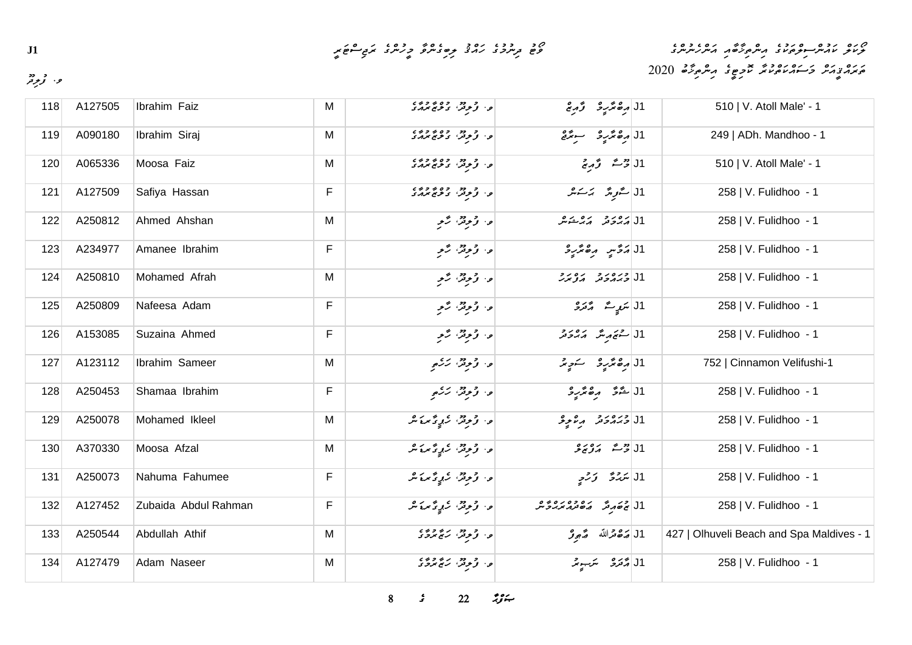*sCw7q7s5w7m< o<n9nOoAw7o< sCq;mAwBoEw7q<m; wBm;vB* م من المرة المرة المرة المرجع المرجع في المركبة 2020<br>مجم*د المريض المربوط المربع المرجع في المراجع المركبة* 

| 118 | A127505 | Ibrahim Faiz         | M           | و٠ وګونژ٠ وګونو وو،                                       | J1 م <i>وڭ ئۇم</i> ق                                                                                           | 510   V. Atoll Male' - 1                  |
|-----|---------|----------------------|-------------|-----------------------------------------------------------|----------------------------------------------------------------------------------------------------------------|-------------------------------------------|
| 119 | A090180 | Ibrahim Siraj        | M           | ه . و دو . وه و و و .<br>ه . و د تر . و د م مرور          | J1 مەھمەر ئەسىمى 1                                                                                             | 249   ADh. Mandhoo - 1                    |
| 120 | A065336 | Moosa Faiz           | M           | ه . و ود . وه و و و .                                     | 1ل تۇشەھ ئۇم <i>بى</i> قى                                                                                      | 510   V. Atoll Male' - 1                  |
| 121 | A127509 | Safiya Hassan        | $\mathsf F$ | ه . و دو . وه و و و .<br>ه . و د تر . و د م مرور          | J1 گوہر برسکار                                                                                                 | 258   V. Fulidhoo - 1                     |
| 122 | A250812 | Ahmed Ahshan         | M           | اء وتوفره رضي                                             | J1 <i>הُدونر م</i> ُرْشَمْر                                                                                    | 258   V. Fulidhoo - 1                     |
| 123 | A234977 | Amanee Ibrahim       | $\mathsf F$ | اء · وُوِيْرُ، رُّمِ                                      | J1 كەڭ سەھە <i>گرى</i> 3                                                                                       | 258   V. Fulidhoo - 1                     |
| 124 | A250810 | Mohamed Afrah        | M           | ه . وُمِعِنْ رُّمِ                                        | J1 <i>32023 مؤترد</i>                                                                                          | 258   V. Fulidhoo - 1                     |
| 125 | A250809 | Nafeesa Adam         | F           | ه . وُفِقْ رُّمِ                                          | J1 سَمَدٍ — مُسَرَّدٌ مُسَرِّدٌ                                                                                | 258   V. Fulidhoo - 1                     |
| 126 | A153085 | Suzaina Ahmed        | $\mathsf F$ | اء وثوثرٌ، رُّمِ                                          | J1 ئىنج <sub>م</sub> ېتىر ب <i>م</i> ېڭىچە                                                                     | 258   V. Fulidhoo - 1                     |
| 127 | A123112 | Ibrahim Sameer       | M           | د · توفر ترکیمی                                           | J1 مەھەر ئەھمەتقى ئىكتى ئىستان ئىستان ئىستان ئىستان ئىستان ئىكتاب ئىستان ئىستان ئىستان ئىستان ئىستان ئىستان ئى | 752   Cinnamon Velifushi-1                |
| 128 | A250453 | Shamaa Ibrahim       | $\mathsf F$ | د · و څونش کرکړ <sub>ي</sub>                              | J1 يَدَّدَّ م <i>ِ®مَّرِد</i> ُ                                                                                | 258   V. Fulidhoo - 1                     |
| 129 | A250078 | Mohamed Ikleel       | M           | ه . وَفَوْتُرْ اللَّهِ وَاللَّهُ عَلَيْهِ اللَّهِ         | J1 <i>ۋېرەدى م</i> ەمبەر ئال                                                                                   | 258   V. Fulidhoo - 1                     |
| 130 | A370330 | Moosa Afzal          | M           | د - و وقري الرو و مرد الر                                 | J1 تۆستە بەر <i>ەب</i> رى                                                                                      | 258   V. Fulidhoo - 1                     |
| 131 | A250073 | Nahuma Fahumee       | $\mathsf F$ | ه . وَمُعِنْزُ اللَّهِ وَمُعَامَلاً مِنْ                  | J1 <i>سَرْدُوَّۃ وَرْدِ</i>                                                                                    | 258   V. Fulidhoo - 1                     |
| 132 | A127452 | Zubaida Abdul Rahman | $\mathsf F$ | ە . ۇرۇش ئېرگىرىگە                                        | 11 ج ھ مقر مقدم مردوم                                                                                          | 258   V. Fulidhoo - 1                     |
| 133 | A250544 | Abdullah Athif       | M           | ه . و دو . ره دوه .                                       | J1 كەھەراللە گ <i>ەبو</i> ر                                                                                    | 427   Olhuveli Beach and Spa Maldives - 1 |
| 134 | A127479 | Adam Naseer          | M           | ه . و و در از ده و دارد .<br>او . و و فران از مانو دارد . | J1 مُرترى سَرَبِيِ <i>مُ</i>                                                                                   | 258   V. Fulidhoo - 1                     |

**8** *s* **22** *z***<sub>***3i***</sub>**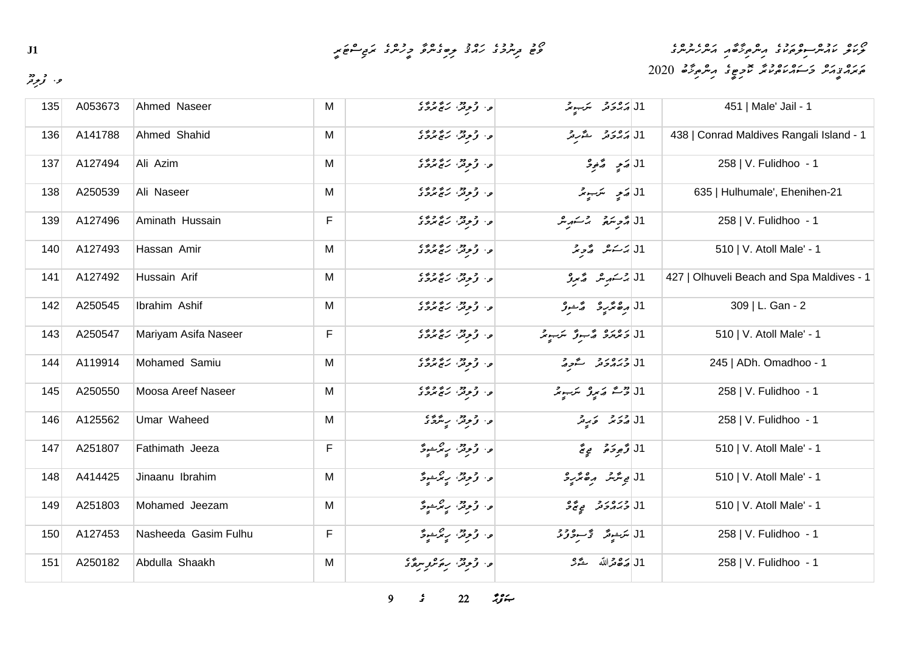*sCw7q7s5w7m< o<n9nOoAw7o< sCq;mAwBoEw7q<m; wBm;vB* م من المرة المرة المرة المرجع المرجع في المركبة 2020<br>مجم*د المريض المربوط المربع المرجع في المراجع المركبة* 

| 135 | A053673 | Ahmed Naseer         | M           | ە· ئۇمۇتتى، ئەنج برگ <sup>و</sup> ى       | J1 <i>مَہُدُوَنَہ</i> مَرْسِوِ <i>نَہ</i> ُ            | 451   Male' Jail - 1                      |
|-----|---------|----------------------|-------------|-------------------------------------------|--------------------------------------------------------|-------------------------------------------|
| 136 | A141788 | Ahmed Shahid         | M           | ه . و دو . ره دوه .                       | J1 <i>مَدْوَنْ حَدَّرِينْ</i>                          | 438   Conrad Maldives Rangali Island - 1  |
| 137 | A127494 | Ali Azim             | M           | ه . و دو . ره دوه .                       | 1ل <i>مَن</i> جِ     مَنْ صِحَرَ                       | 258   V. Fulidhoo - 1                     |
| 138 | A250539 | Ali Naseer           | M           | ه . و دو . ره دوه .<br>مستوفق ره برود     | 1ل <i>ھَ مِ</i> سَرَجِيْرَ                             | 635   Hulhumale', Ehenihen-21             |
| 139 | A127496 | Aminath Hussain      | F           | ا و . و و ده رخ برو د                     | 11 أ <i>مَّ جِيندَة بِرْسَنَ م</i> ِينْزِ              | 258   V. Fulidhoo - 1                     |
| 140 | A127493 | Hassan Amir          | M           | ه . و دو . ره دوه .<br>مستوفر المستوفر    | J1 ئەسەبىر گ <i>ەھ</i> تر                              | 510   V. Atoll Male' - 1                  |
| 141 | A127492 | Hussain Arif         | M           | ه . و دو . ره دوه .                       | J1 پرستمبر مگ <i>رنگ</i>                               | 427   Olhuveli Beach and Spa Maldives - 1 |
| 142 | A250545 | Ibrahim Ashif        | M           | ه . و دو . ره دوه .                       | J1 مەھمگىر ئۇ مەھمىسى ئە                               | 309   L. Gan - 2                          |
| 143 | A250547 | Mariyam Asifa Naseer | F           | د . و ود . ره وه د .                      | J1 <i>كَمْ</i> تْدَة مُّسِبِرٌّ سَ <i>بِي</i> دِيْر    | 510   V. Atoll Male' - 1                  |
| 144 | A119914 | Mohamed Samiu        | M           | ه . و دو . ره دوه .<br>او . و دین ره بروی | J1 <i>وَبَهُ دَوْ</i> سُمْحِهُ                         | 245   ADh. Omadhoo - 1                    |
| 145 | A250550 | Moosa Areef Naseer   | M           | ه . و دو . ره دوه .<br>مستوفق ره برود     | J1 فِرْجُ <sub>م</sub> َبِرِوْ مَرَ <sub>س</sub> ِمِّہ | 258   V. Fulidhoo - 1                     |
| 146 | A125562 | <b>Umar Waheed</b>   | M           | و٠ وګوټر، په پروی                         | J1 <i>محکمت حکی</i> فر                                 | 258   V. Fulidhoo - 1                     |
| 147 | A251807 | Fathimath Jeeza      | $\mathsf F$ | ە . ۇوقرا بەيرىسوگ                        | 11 گوچر توځ                                            | 510   V. Atoll Male' - 1                  |
| 148 | A414425 | Jinaanu Ibrahim      | M           | ه ژونژ پژموژ                              | J1 <sub>فو</sub> ىترىتر ب <i>ەھترى</i> پى ئى           | 510   V. Atoll Male' - 1                  |
| 149 | A251803 | Mohamed Jeezam       | M           | <sub>و: ژ</sub> وژ، <sub>په نگ</sub> یوژ  | J1 <i>دېرون</i> و ي <sub>ې ت</sub> ح                   | 510   V. Atoll Male' - 1                  |
| 150 | A127453 | Nasheeda Gasim Fulhu | F           | أو: وُوِيْنُ رِيْرُجُودُ                  | J1 مَرَسْوِمَّر گَرْسُوڤُرُكُمْ                        | 258   V. Fulidhoo - 1                     |
| 151 | A250182 | Abdulla Shaakh       | M           | ە . ۇرۇپر، رەكروپىرەكى                    | J1 مَەقراللە شَرْرْ                                    | 258   V. Fulidhoo - 1                     |

*9 s* 22  $29$  *n*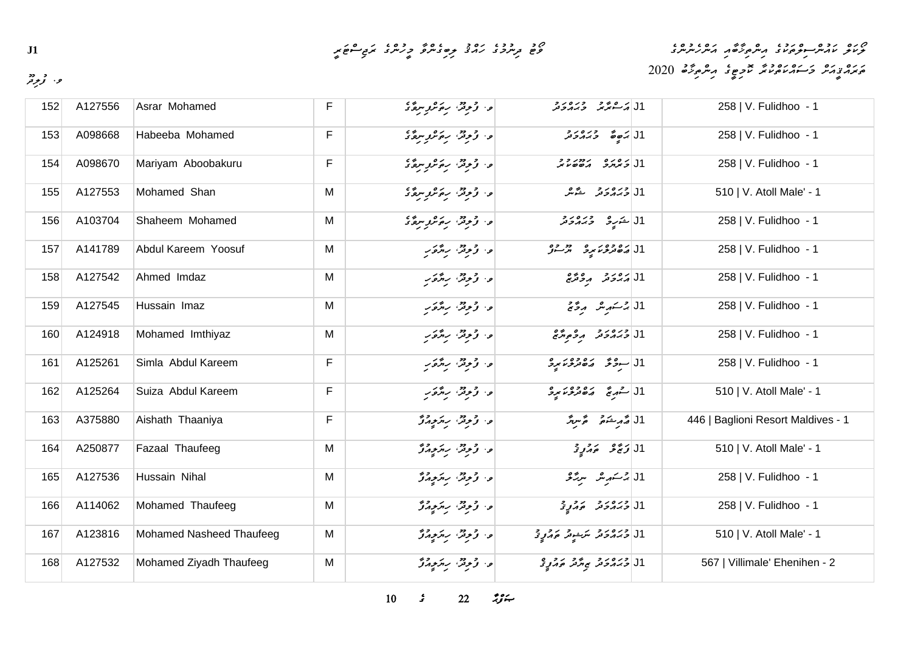*sCw7q7s5w7m< o<n9nOoAw7o< sCq;mAwBoEw7q<m; wBm;vB* م من المرة المرة المرة المرجع المرجع في المركبة 2020<br>مجم*د المريض المربوط المربع المرجع في المراجع المركبة* 

| 152 | A127556 | Asrar Mohamed            | F           | ە· ئۇمەتتى، سەھرىي سىھ ئ              | J1 كەشقىر مەرەبەد                                   | 258   V. Fulidhoo - 1              |
|-----|---------|--------------------------|-------------|---------------------------------------|-----------------------------------------------------|------------------------------------|
| 153 | A098668 | Habeeba Mohamed          | F           | ە· ۇرۇپر، رەكروسرەك                   | J1 بَرَصِرَّة وَبَرَوْدَتْر                         | 258   V. Fulidhoo - 1              |
| 154 | A098670 | Mariyam Aboobakuru       | $\mathsf F$ | ە· ۇرۇپر، رەكروسرەك                   | 5222222221                                          | 258   V. Fulidhoo - 1              |
| 155 | A127553 | Mohamed Shan             | M           | و- ۇجەنز، سەھرىي سىڭ ئ                | J1 <i>ۋېزو دۇ</i> شەھر                              | 510   V. Atoll Male' - 1           |
| 156 | A103704 | Shaheem Mohamed          | M           | و· وْحِرْثْرُ رِيَّ عُرُو مِرْحَدٌ وَ | J1 خرى <i>دى دەر د</i>                              | 258   V. Fulidhoo - 1              |
| 157 | A141789 | Abdul Kareem Yoosuf      | M           | وسوقر ويؤوب                           | U مەھەر <i>ۋە بىرە بېر تەرە</i> ۋە                  | 258   V. Fulidhoo - 1              |
| 158 | A127542 | Ahmed Imdaz              | M           | د· و څوند رمړو په                     | J1 <i>ה</i> כפיק הפיק                               | 258   V. Fulidhoo - 1              |
| 159 | A127545 | Hussain Imaz             | M           | ه وقرقه رؤدي                          | J1 بر سَمبر شرح مرحزم ج                             | 258   V. Fulidhoo - 1              |
| 160 | A124918 | Mohamed Imthiyaz         | M           | ه وحوقر روغر                          | J1 <i>בייחידית</i> ת <i>ב<sub>יפ</sub>ת</i> י       | 258   V. Fulidhoo - 1              |
| 161 | A125261 | Simla Abdul Kareem       | F           | و· وُفِرْقْرُ رِبُرُوَرِ              | J1 بەر ئەھەر <i>ۋە ئەرى</i>                         | 258   V. Fulidhoo - 1              |
| 162 | A125264 | Suiza Abdul Kareem       | F           | وسوقر ويؤوب                           | U شهریج پره دور عرد و                               | 510   V. Atoll Male' - 1           |
| 163 | A375880 | Aishath Thaaniya         | F           | ء و وقرق بارج مرکز                    | J1 مَّ مِ شَمَّع مَّ سِنَّرَ                        | 446   Baglioni Resort Maldives - 1 |
| 164 | A250877 | Fazaal Thaufeeg          | M           | ه ووده رمزم د                         | J1 توپچ ئ <i>و چې</i> توپ <sup>چ</sup>              | 510   V. Atoll Male' - 1           |
| 165 | A127536 | Hussain Nihal            | M           | د . و وقر . ر مرکز مرد و              | J1 ئ <i>ے م</i> ریش سر <i>ینڈ</i>                   | 258   V. Fulidhoo - 1              |
| 166 | A114062 | Mohamed Thaufeeg         | M           | ء و وقرق بەرجەد تر                    | 11 <i>ډېرونه ومړي</i> و                             | 258   V. Fulidhoo - 1              |
| 167 | A123816 | Mohamed Nasheed Thaufeeg | M           | د· د څونه ر ټرېږمه د                  | 11 <i>دې دې</i> مر <sub>شو</sub> تر م <i>وړې</i> ته | 510   V. Atoll Male' - 1           |
| 168 | A127532 | Mohamed Ziyadh Thaufeeg  | M           | ء و وقرق بارج المع                    | 11 <i>دېم</i> ونه <sub>مخ</sub> رم <i>مخې</i> ږي    | 567   Villimale' Ehenihen - 2      |

 $10$  *s*  $22$  *n***<sub>s</sub>**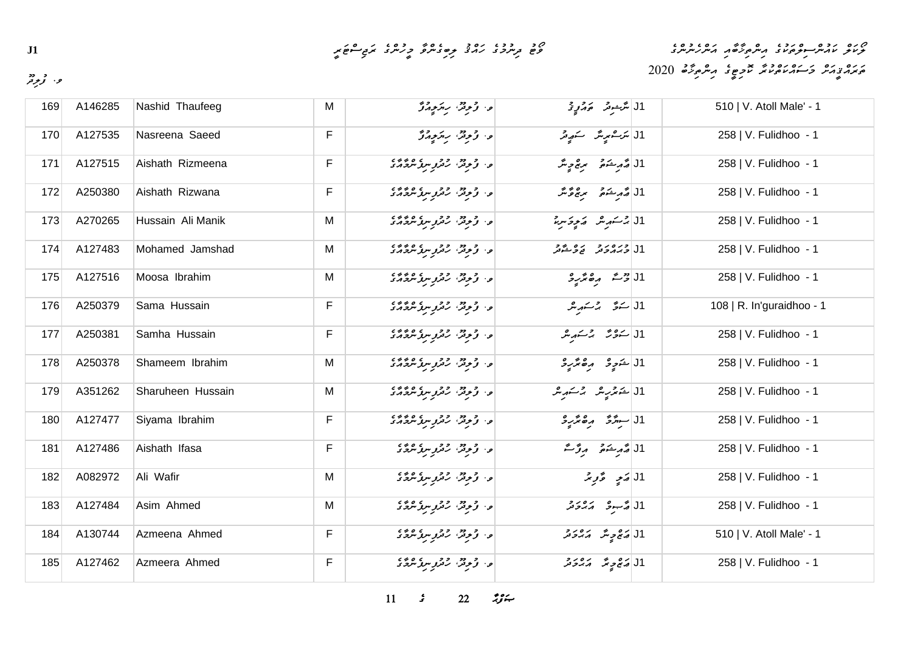*sCw7q7s5w7m< o<n9nOoAw7o< sCq;mAwBoEw7q<m; wBm;vB* م من المرة المرة المرة المرجع المرجع في المركبة 2020<br>مجم*د المريض المربوط المربع المرجع في المراجع المركبة* 

| 169 | A146285 | Nashid Thaufeeg   | M | ه و وده به دورو                                          |                                       | 510   V. Atoll Male' - 1  |
|-----|---------|-------------------|---|----------------------------------------------------------|---------------------------------------|---------------------------|
| 170 | A127535 | Nasreena Saeed    | F | و· وُفِرْشُ بِهُ فَهُوَا وَ                              | J1 <i>مترت مرینگ سکوپی</i> ٹر         | 258   V. Fulidhoo - 1     |
| 171 | A127515 | Aishath Rizmeena  | F | ه . و دو . دو سرگامهای                                   | 1ل م <sup>ۇ</sup> مرىشمۇ ھېرىمى پەر   | 258   V. Fulidhoo - 1     |
| 172 | A250380 | Aishath Rizwana   | F | و٠ وګونژ، رکور سرگرمرد دی                                | 1لەھرىشكى ئىرىم ئاھىر                 | 258   V. Fulidhoo - 1     |
| 173 | A270265 | Hussain Ali Manik | M | .<br>د ووند ريزينې برومړي                                | J1 يُرْسَمَ بِيْرِ مَتَّحِرَّسِيدُ    | 258   V. Fulidhoo - 1     |
| 174 | A127483 | Mohamed Jamshad   | M | ه . و دو . د و سرع معده و .                              | J1 <i>وبزەر دە دەشۇر</i>              | 258   V. Fulidhoo - 1     |
| 175 | A127516 | Moosa Ibrahim     | M | ه . و دو . دو سرگامهای                                   | J1 جُ شَمَّ مِنْ مَعَرَبِ مِنْ        | 258   V. Fulidhoo - 1     |
| 176 | A250379 | Sama Hussain      | F | و . و وه . و و پرو معداد و                               | J1 سَمَرَّ بُرْسَم <i>ِي</i> سْ       | 108   R. In'guraidhoo - 1 |
| 177 | A250381 | Samha Hussain     | F | ه . و دو . دو سرگامهای                                   | J1  س <i>تۇن بى</i> سى <i>مبەنل</i>   | 258   V. Fulidhoo - 1     |
| 178 | A250378 | Shameem Ibrahim   | M | ه . و دو . د و مرو معداد .<br>مستوفيل المعرو مرو معداد و | J1 ڪوچ <i>وڻ جُرِ</i> چ               | 258   V. Fulidhoo - 1     |
| 179 | A351262 | Sharuheen Hussain | M | و٠ وګونژ، رکور سرگرمرد دی                                | J1 ڪئر <i>يرين بڙڪوبنگ</i>            | 258   V. Fulidhoo - 1     |
| 180 | A127477 | Siyama Ibrahim    | F | ء کی دی دی در مرکز میکند در د                            | J1 سورم مەم <i>رى</i> رە              | 258   V. Fulidhoo - 1     |
| 181 | A127486 | Aishath Ifasa     | F | و . وڅوند . د در سر سره د .                              | U1 مُدمِسَمَّ مِرَّتَّ                | 258   V. Fulidhoo - 1     |
| 182 | A082972 | Ali Wafir         | M | ە· ئۇچەش جەمزىيەتكەنگەنگە                                | J1  رَمٍ عَ <i>وب</i> تر              | 258   V. Fulidhoo - 1     |
| 183 | A127484 | Asim Ahmed        | M | د کومرد دوربردگردد                                       | J1 ۾َٻو <i>پروون</i> ر                | 258   V. Fulidhoo - 1     |
| 184 | A130744 | Azmeena Ahmed     | F | ە كۆمەت ئەترىپىدىكەدى                                    | J1 <i>مەنج ج</i> ېتر ئە <i>مەدى</i> ر | 510   V. Atoll Male' - 1  |
| 185 | A127462 | Azmeera Ahmed     | F | ە· ئۇچەش 25 <sub>مۇ</sub> سۇمبۇم                         | J1 <i>ھَ جُوجُہ مَدُونِر</i> ُ        | 258   V. Fulidhoo - 1     |

 $11$  *s*  $22$  *i*<sub>s</sub>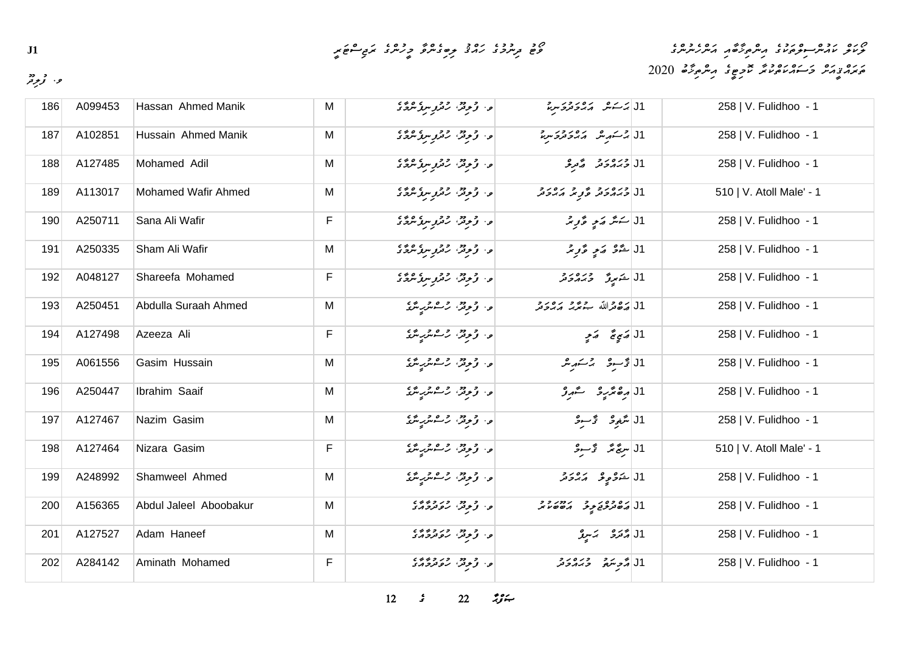*sCw7q7s5w7m< o<n9nOoAw7o< sCq;mAwBoEw7q<m; wBm;vB* م من المرة المرة المرة المرجع المرجع في المركبة 2020<br>مجم*د المريض المربوط المربع المرجع في المراجع المركبة* 

| 186 | A099453 | Hassan Ahmed Manik         | M | ا و . و د ده د د و سرو مرد د                         | J1 ئەسەمىر مە <i>مەدە ئىب</i> ر                       | 258   V. Fulidhoo - 1    |
|-----|---------|----------------------------|---|------------------------------------------------------|-------------------------------------------------------|--------------------------|
| 187 | A102851 | Hussain Ahmed Manik        | M | د کوچن ريزو سرگرمرد د                                | 11 بر سور شهر مرد در در مرب <i>ر ب</i> ر              | 258   V. Fulidhoo - 1    |
| 188 | A127485 | Mohamed Adil               | M | د کوچن ريزو سرگرمرد د                                | J1 <i>ڈیز م</i> حقہ گھری گھر                          | 258   V. Fulidhoo - 1    |
| 189 | A113017 | <b>Mohamed Wafir Ahmed</b> | M | د کوچن ريزو سرگرمرد د                                | 11 <i>ديره دو و ده دود</i>                            | 510   V. Atoll Male' - 1 |
| 190 | A250711 | Sana Ali Wafir             | F | ە كۆمەت ئەترىپىدىكەدى                                | J1 س <i>ەمىگە ھ<sup>ى</sup>مو ھ<sup>ى</sup>موم</i> ىر | 258   V. Fulidhoo - 1    |
| 191 | A250335 | Sham Ali Wafir             | M | ە كۆمەت ئەترىپىدىكەدى                                | J1 ڪر <i>ي هو وُوير</i>                               | 258   V. Fulidhoo - 1    |
| 192 | A048127 | Shareefa Mohamed           | F | و . و وفر . و و سر مرو .<br>مستوفر المستوفر المستوفر | J1 خ <i>وبوڭ دېم</i> ردونر                            | 258   V. Fulidhoo - 1    |
| 193 | A250451 | Abdulla Suraah Ahmed       | M | ه . وُمِنْ رُکْسُرْرِسُّ                             | 11 مُصْعَرِ اللّهُ جَعَيْرَ مَدَّدَ مَد               | 258   V. Fulidhoo - 1    |
| 194 | A127498 | Azeeza Ali                 | F | ە · ئۇچىق شەھرىرىگە                                  | J1 <i>ھَيِءُ ھَي</i>                                  | 258   V. Fulidhoo - 1    |
| 195 | A061556 | Gasim Hussain              | M | ه . و وفرا را ما مرسمه                               | J1 تۇسو <i>ق بى</i> شمېرى <i>ش</i>                    | 258   V. Fulidhoo - 1    |
| 196 | A250447 | Ibrahim Saaif              | M | ە · ئۇچەش شەھرىرىتىگە                                | J1 مەھ <i>مەرىۋە</i> شەرى                             | 258   V. Fulidhoo - 1    |
| 197 | A127467 | Nazim Gasim                | M | ە· ئۇچەش شەھەر ئىگە                                  | 11 مئى <sub>نج</sub> ۇ گ <sub>ەسى</sub> ر             | 258   V. Fulidhoo - 1    |
| 198 | A127464 | Nizara Gasim               | F | ە · ئۇچىق شەھرىرىتىگە                                | 1ل سبيحَمَّدَ قَرَّب <i>ْ</i> قُر                     | 510   V. Atoll Male' - 1 |
| 199 | A248992 | Shamweel Ahmed             | M | ە · ئۇچەش شەھرىدىگە                                  | J1 خۇم <sub>ۇ</sub> بۇ كەبرۇتر                        | 258   V. Fulidhoo - 1    |
| 200 | A156365 | Abdul Jaleel Aboobakur     | M | ه . و ود . در دور .<br>م . و د ش                     | 11 رەدەر دەرەدە                                       | 258   V. Fulidhoo - 1    |
| 201 | A127527 | Adam Haneef                | M | ه . و دو . و د و د د .<br>ه . و د تر . موترو بر د    | J1 مَ <i>مَّدَة بَ</i> سِيْر                          | 258   V. Fulidhoo - 1    |
| 202 | A284142 | Aminath Mohamed            | F | ه . و دو . و د و د د .<br>م . و و تر . ره ترو بر د   | J1 <i>مُّجِسَعُ دَيَهُ دَو</i>                        | 258   V. Fulidhoo - 1    |

 $12$  *s*  $22$  *n***<sub>s</sub>**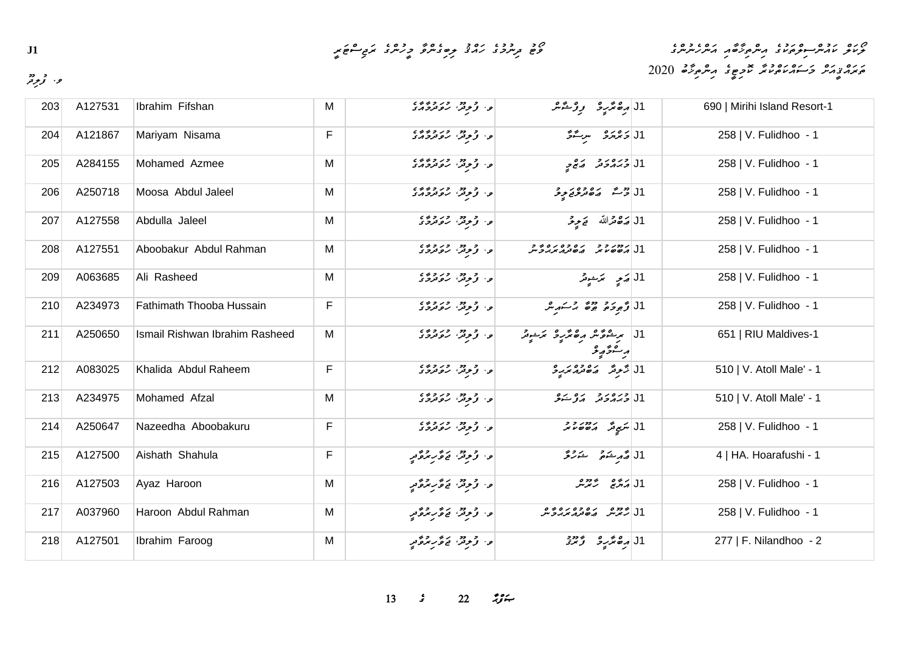*sCw7q7s5w7m< o<n9nOoAw7o< sCq;mAwBoEw7q<m; wBm;vB* م من المرة المرة المرة المرجع المرجع في المركبة 2020<br>مجم*د المريض المربوط المربع المرجع في المراجع المركبة* 

| 203 | A127531 | Ibrahim Fifshan                | M | ه . و ود . دروه و .<br>م . و وش  ره مرواز و       | J1 ب <i>ر&amp;ټرپر\$ و</i> وګیګر                                       | 690   Mirihi Island Resort-1 |
|-----|---------|--------------------------------|---|---------------------------------------------------|------------------------------------------------------------------------|------------------------------|
| 204 | A121867 | Mariyam Nisama                 | F | ه . و دو . و د و د د .<br>د . و و تر . موترو بر د | J1 <i>وَبُرْمُرُوْ</i> سِرْجُوُّ                                       | 258   V. Fulidhoo - 1        |
| 205 | A284155 | Mohamed Azmee                  | M | ه . و دو . و د و د د .<br>ه . و د فر . موترو بر د | J1 <i>وُبَهُ دَوَنَہ مَنْ وَ</i>                                       | 258   V. Fulidhoo - 1        |
| 206 | A250718 | Moosa Abdul Jaleel             | M | ه . و دو . و د و د د .<br>ه . و د فر . موترو بر د | J1 جي په <i>محمد م</i> ونو مونو                                        | 258   V. Fulidhoo - 1        |
| 207 | A127558 | Abdulla Jaleel                 | M | ه . و دو . و دوه .<br>مستوفر . روترو .            | J1 <i>ھَ</i> 5ھُرالله ق <sub>َ</sub> مَوِتَح                           | 258   V. Fulidhoo - 1        |
| 208 | A127551 | Aboobakur Abdul Rahman         | M | ه . و دو . و د و د .<br>  د . و وتر . رو د و د    | 11 كەھەر بەر ئەرەر بەر بولۇر.<br>11 كەھەم بىر ئەك ئىرى بىر بىر بىر بىر | 258   V. Fulidhoo - 1        |
| 209 | A063685 | Ali Rasheed                    | M | ه . و دو . و دوه .<br>مستوفر . روترو .            | 1ل  <i>مَہ</i> رِ کمَشِیٹر                                             | 258   V. Fulidhoo - 1        |
| 210 | A234973 | Fathimath Thooba Hussain       | F | ه . و دو . و دوه .<br>م . و دین ره مرو د          | 11 <i>وګېږده چې برخېږ</i> مر                                           | 258   V. Fulidhoo - 1        |
| 211 | A250650 | Ismail Rishwan Ibrahim Rasheed | M | ه . و ود . و د و د .<br>او . و وفر . ره مرو د     | 11   برڪو <i>گير رھيڙرو برَ</i> حو <i>تر</i><br>مەستۇم بۇ              | 651   RIU Maldives-1         |
| 212 | A083025 | Khalida Abdul Raheem           | F | ه . و دو . و د و د .<br>  د . و د ش ره درو د      | 11 <i>ڈونڈ مقدم مزبر ڈ</i>                                             | 510   V. Atoll Male' - 1     |
| 213 | A234975 | Mohamed Afzal                  | M | ه . و دو . و د و د .<br>م . و د ش ره مرو د        | J1 <i>دېږونه پروين</i> و                                               | 510   V. Atoll Male' - 1     |
| 214 | A250647 | Nazeedha Aboobakuru            | F | ه . و دو . و د و د .<br>ه . و و تر . ره ترو د     | 11 سَ <sub>بِع</sub> ِ <i>شَرْ مَقْعَة مَ</i>                          | 258   V. Fulidhoo - 1        |
| 215 | A127500 | Aishath Shahula                | F | و· وُوِيْرُ كَاثَرَ بِرْدُّيْدٍ                   | J1 مەم ئىشقى ئىش <i>ەر</i> گە                                          | 4   HA. Hoarafushi - 1       |
| 216 | A127503 | Ayaz Haroon                    | M | د · د و وقراء ن قرير قرقر مرد                     | J1 كەمرىج ئەمىر مىر                                                    | 258   V. Fulidhoo - 1        |
| 217 | A037960 | Haroon Abdul Rahman            | M | و· وُوِيْرُ كَاثَرَ بِرْدُّيْدٍ                   | 11 روده ده ده ده ده و                                                  | 258   V. Fulidhoo - 1        |
| 218 | A127501 | Ibrahim Faroog                 | M | و· وُفِرْقُ مَعَ مُرْتَوَّمِهِ                    | 11 رەمگرىر <sup>ى بودد</sup>                                           | 277   F. Nilandhoo - 2       |

 $13$  *s*  $22$  *n***<sub>s</sub>**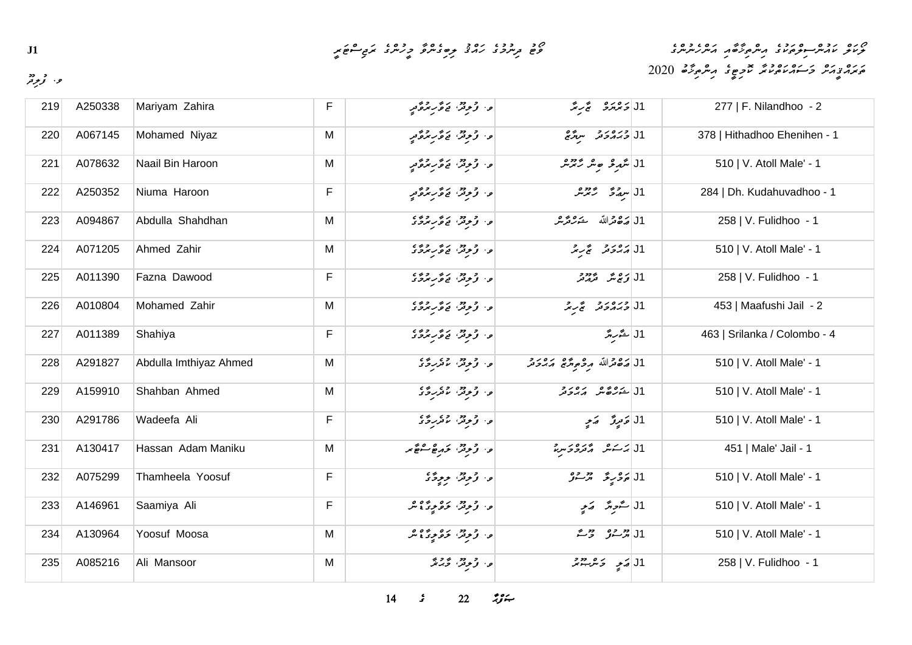*sCw7q7s5w7m< o<n9nOoAw7o< sCq;mAwBoEw7q<m; wBm;vB* م من المرة المرة المرة المرجع المرجع في المركبة 2020<br>مجم*د المريض المربوط المربع المرجع في المراجع المركبة* 

| 219 | A250338 | Mariyam Zahira         | $\mathsf{F}$ | و· وُوِيْنُ يَا وَرِيْرُوْنِدِ              | J1 <i>حەمدى تج ب</i>                                 | 277   F. Nilandhoo - 2       |
|-----|---------|------------------------|--------------|---------------------------------------------|------------------------------------------------------|------------------------------|
| 220 | A067145 | Mohamed Niyaz          | M            | ه . وَوِقْرٌ ، فَاقْرَبْتُمْقَوْمٍ          | J1 <i>وُبَهُ دَوْرَ</i> سِر <i>وُّ</i> يْ            | 378   Hithadhoo Ehenihen - 1 |
| 221 | A078632 | Naail Bin Haroon       | M            | و · وْ وِقْرْ · فَاحْ بِ بَرْحٌ مِرِ        | J1 متَدِعْهِ صِنْرَ سُ <sup>رْد</sup> َوْ مِ         | 510   V. Atoll Male' - 1     |
| 222 | A250352 | Niuma Haroon           | $\mathsf F$  | ه . وْمِنْزْ ، وَمُرْمَوْسِ                 | J1 سم <i>م</i> ع محمد محمد الله                      | 284   Dh. Kudahuvadhoo - 1   |
| 223 | A094867 | Abdulla Shahdhan       | M            |                                             | J1 مَەھْتْراللە خ <i>ەرقىرىتى</i>                    | 258   V. Fulidhoo - 1        |
| 224 | A071205 | Ahmed Zahir            | M            | و· وقوم نے وزیرون                           | J1 <i>مَدْدَوَنْتْ</i> يُحْرِيْرُ                    | 510   V. Atoll Male' - 1     |
| 225 | A011390 | Fazna Dawood           | F            | و· وُفْرُسٌ فَالْقُرْبِرُوْدَ               | J1 ئۇيج مىگە ئ <i>ۆرە</i> ئە                         | 258   V. Fulidhoo - 1        |
| 226 | A010804 | Mohamed Zahir          | M            | د . و وو .<br>  د . و وفر . و څو د برو د    | J1 <i>وُبَهُ وَمَدْ</i> گُمْ بِمُرْ                  | 453   Maafushi Jail - 2      |
| 227 | A011389 | Shahiya                | $\mathsf F$  | د . و دو.<br>  د . و وتر، نے قریر پرو د     | J1 شەرى <i>گە</i>                                    | 463   Srilanka / Colombo - 4 |
| 228 | A291827 | Abdulla Imthiyaz Ahmed | M            | د کو وجود دی دی.<br>  د کومونش مانگرېز د کا | U جەمراللە م <sub>و</sub> ۋم <sub>و</sub> مزى برەر د | 510   V. Atoll Male' - 1     |
| 229 | A159910 | Shahban Ahmed          | M            | ه . و دو . وي . وي                          | J1 ڪر <i>ي هه پرور</i> و                             | 510   V. Atoll Male' - 1     |
| 230 | A291786 | Wadeefa Ali            | $\mathsf{F}$ | ه وتونژ مغربرده                             | J1 <i> وَمِرِدٌ مَ</i> حٍ                            | 510   V. Atoll Male' - 1     |
| 231 | A130417 | Hassan Adam Maniku     | M            | والمحروش كرماه والمقامر                     | J1 ئەسەمىر مەمر <i>ە ئەس</i> ە                       | 451   Male' Jail - 1         |
| 232 | A075299 | Thamheela Yoosuf       | $\mathsf F$  | ه ژونژ ووژی                                 | J1 <sub>ھۇرى</sub> بۇ بۇشۇ                           | 510   V. Atoll Male' - 1     |
| 233 | A146961 | Saamiya Ali            | $\mathsf{F}$ | ه . وُمِنْ مَوْمِوَّ ، شَ                   | J1 ڪ <sub>يون</sub> گر <sub>صَ</sub> حِي             | 510   V. Atoll Male' - 1     |
| 234 | A130964 | Yoosuf Moosa           | M            | ه . وُمِنْ مَوْمِوَءُ لَمْ لَهُ الله        | J1 پژيز ژيم                                          | 510   V. Atoll Male' - 1     |
| 235 | A085216 | Ali Mansoor            | M            | ه وتونژا ورنژ                               | J1 <i>ڇَجِ چَسْبَ</i> يْرَ                           | 258   V. Fulidhoo - 1        |

 $14$  *s*  $22$   $23$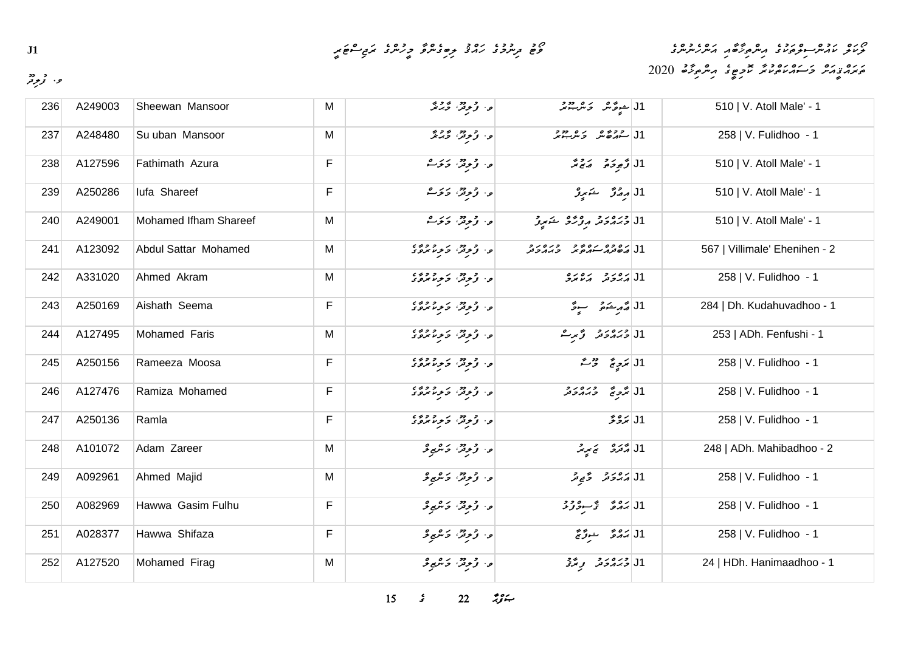*sCw7q7s5w7m< o<n9nOoAw7o< sCq;mAwBoEw7q<m; wBm;vB* م من المرة المرة المرة المرجع المرجع في المركبة 2020<br>مجم*د المريض المربوط المربع المرجع في المراجع المركبة* 

| 236 | A249003 | Sheewan Mansoor       | M | د · و څوند <i>او د ب</i> ر    | J1 خوصٌ مَرْسِبْتِيمُ                 | 510   V. Atoll Male' - 1      |
|-----|---------|-----------------------|---|-------------------------------|---------------------------------------|-------------------------------|
| 237 | A248480 | Su uban Mansoor       | M | ه وُمِنْ دُرُمْ               | J1 كەرگەش كەش <i>رى</i> دىر           | 258   V. Fulidhoo - 1         |
| 238 | A127596 | Fathimath Azura       | F | ە . ۇرق ئۆت                   | J1 وَج <i>وحَ</i> هُمَ يَمْتَمُّ      | 510   V. Atoll Male' - 1      |
| 239 | A250286 | lufa Shareef          | F | ه . وُمِعْرُ وَتَوَتَّ        | 1ل <i>مەمۇ</i> خىمب <i>و</i> گ        | 510   V. Atoll Male' - 1      |
| 240 | A249001 | Mohamed Ifham Shareef | M | ە . ۇرق ئۇش                   | 11 <i>دېرونو موژو خپرو</i>            | 510   V. Atoll Male' - 1      |
| 241 | A123092 | Abdul Sattar Mohamed  | M | ه . وقويق وَمِرْ مُرورٌ       | 11 <i>مقادم مقرم بود وبروب</i> ر      | 567   Villimale' Ehenihen - 2 |
| 242 | A331020 | Ahmed Akram           | M | ه و وه به در دوه              | J1 <i>הُمحدِّد مُرَسَّرِد</i>         | 258   V. Fulidhoo - 1         |
| 243 | A250169 | Aishath Seema         | F | و وقويل وتونامرور             | J1 مەم ھەم سو <i>م</i> ۇ              | 284   Dh. Kudahuvadhoo - 1    |
| 244 | A127495 | Mohamed Faris         | M | ه . وفوقر، وَمِرْمَ مَرَهُ وَ | J1 <i>ۋېزو دې</i> ت <sub>ر تر</sub> م | 253   ADh. Fenfushi - 1       |
| 245 | A250156 | Rameeza Moosa         | F | ه و وده د و دوه               | 11 <i>مَدَجِعٌ وَ"</i> گ              | 258   V. Fulidhoo - 1         |
| 246 | A127476 | Ramiza Mohamed        | F | ه . و وفر . د و و و و و .     | J1 بَرُوبَعٌ وَبَرُودَ لَهِ           | 258   V. Fulidhoo - 1         |
| 247 | A250136 | Ramla                 | F | ه . و وفر . د د بر د و د ،    | J1 برد و مح                           | 258   V. Fulidhoo - 1         |
| 248 | A101072 | Adam Zareer           | M | و· وُمِرْتُزْ، وَسَمَّعٍ مَحْ | 1ل <i>مُمترد تم</i> يتر               | 248   ADh. Mahibadhoo - 2     |
| 249 | A092961 | Ahmed Majid           | M | و· وُمِرْتُزْ، وَسَمَّعٍ مَحْ | J1 <i>مَ بُرْدَ مَدْ</i> وَ مِ مُرْ   | 258   V. Fulidhoo - 1         |
| 250 | A082969 | Hawwa Gasim Fulhu     | F | اء: وُمِرِيْنَ وَسُمِرِيْ     | J1 بروو تۇسى <i>رە دو</i>             | 258   V. Fulidhoo - 1         |
| 251 | A028377 | Hawwa Shifaza         | F | ە . ۇجەن كەش كە               | 1ل <i>بَ</i> رْدَةُ سْوَرَّجَ         | 258   V. Fulidhoo - 1         |
| 252 | A127520 | Mohamed Firag         | M | ە . ۇرقە كەشپۇ                | J1 <i>دېم</i> مرد وېژ <sub>ند</sub>   | 24   HDh. Hanimaadhoo - 1     |

 $15$  *s*  $22$  *n***<sub>s</sub>** $\frac{2}{5}$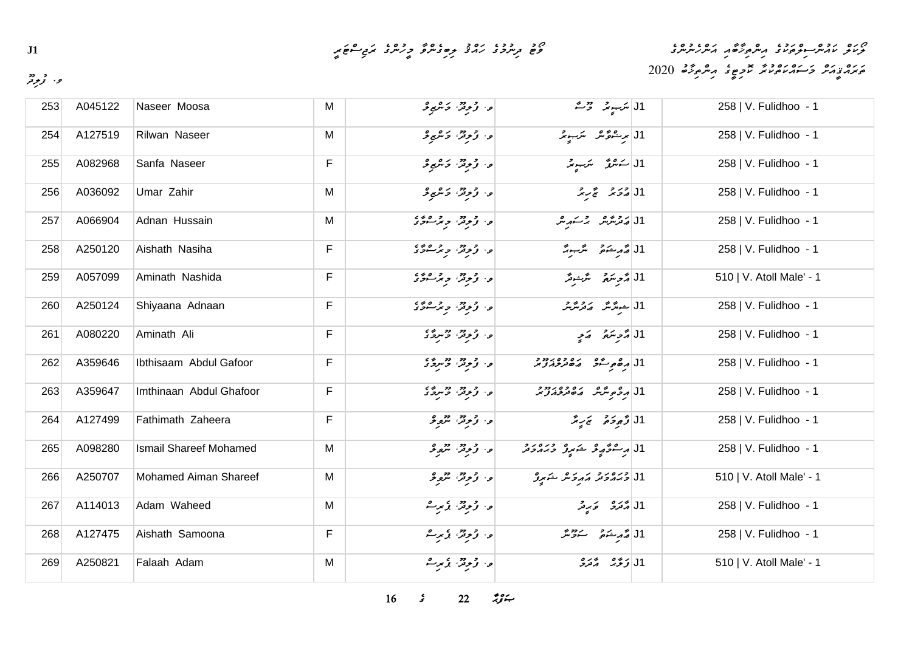*sCw7q7s5w7m< o<n9nOoAw7o< sCq;mAwBoEw7q<m; wBm;vB* م من المرة المرة المرة المرجع المرجع في المركبة 2020<br>مجم*د المريض المربوط المربع المرجع في المراجع المركبة* 

| 253 | A045122 | Naseer Moosa                  | M           | د و تونژ، ځندې تر                  | 1ل <sub>مک</sub> ر <sub>س</sub> ویمر مخ <sup>م</sup> گر | 258   V. Fulidhoo - 1    |
|-----|---------|-------------------------------|-------------|------------------------------------|---------------------------------------------------------|--------------------------|
| 254 | A127519 | <b>Rilwan Naseer</b>          | M           | ه . و وِيْن دَسْءِ و               | J1 ىرىشۇنى <i>گە</i> تى <i>رىبونى</i> گە                | 258   V. Fulidhoo - 1    |
| 255 | A082968 | Sanfa Naseer                  | F           | ه . و وِيْن دَسْءِ و               | J1 سەنتىرتى سىمبىيەتتىر                                 | 258   V. Fulidhoo - 1    |
| 256 | A036092 | Umar Zahir                    | M           | ه . ژونژ، دَسْهِ دْ                | J1 <i>ھج بڑ تج ب</i>                                    | 258   V. Fulidhoo - 1    |
| 257 | A066904 | Adnan Hussain                 | M           | و· وقوفر، وبرحوى                   | 11 <i>مەمەنگىرى جىسكىم</i> بىر                          | 258   V. Fulidhoo - 1    |
| 258 | A250120 | Aishath Nasiha                | F           | ه . و وقرا د برگرده و <del>.</del> | J1 مەم ئىشقى ئىشىنىڭە ئىش                               | 258   V. Fulidhoo - 1    |
| 259 | A057099 | Aminath Nashida               | F           | ه وتوفر وبر دوء                    | J1 مَرْحِ سَرَمَ <sub>ةُ</sub> سَرْجِعِيشَ              | 510   V. Atoll Male' - 1 |
| 260 | A250124 | Shiyaana Adnaan               | F           | و· وقوفر، وبرحوى                   | 1ل ھوتر <i>تر مقرنگريز</i>                              | 258   V. Fulidhoo - 1    |
| 261 | A080220 | Aminath Ali                   | F           | أوا وتحوفرا وحسرونمى               | 1ل  <i>مزَّدِ سَع</i> ْرَ مَرْمٍ                        | 258   V. Fulidhoo - 1    |
| 262 | A359646 | Ibthisaam Abdul Gafoor        | $\mathsf F$ | ه وتوفر، وسروی                     | 11 رەم شى رە دەردد د                                    | 258   V. Fulidhoo - 1    |
| 263 | A359647 | Imthinaan Abdul Ghafoor       | $\mathsf F$ | أوا وتحوقرا وحسروي                 | 11 م <i>ېڅمو شره د موه د ده د</i>                       | 258   V. Fulidhoo - 1    |
| 264 | A127499 | Fathimath Zaheera             | F           | ء وقرقرم متوفر                     | J1 ۇ <sub>جو</sub> رَمْ ئ <sub>ى بى</sub> ر             | 258   V. Fulidhoo - 1    |
| 265 | A098280 | <b>Ismail Shareef Mohamed</b> | M           | اء و توفر، شموی                    | 11 مِــُوَّمِهِ وَ عَمَىٰ وَيَهُوَىٰ                    | 258   V. Fulidhoo - 1    |
| 266 | A250707 | <b>Mohamed Aiman Shareef</b>  | M           | ه زوچر، ش <sub>عر</sub> و          | 11 <i>ديرورو بروتر خېږي</i>                             | 510   V. Atoll Male' - 1 |
| 267 | A114013 | Adam Waheed                   | M           | <sub>ی</sub> . وګویژ، بومړے        | 1ل  <i>مُ</i> تَرَدُّ ءَب <sub>َ</sub> تِرُ             | 258   V. Fulidhoo - 1    |
| 268 | A127475 | Aishath Samoona               | F           | أوا وكوفرا وتربرك                  | J1 مەم ئىشقى مەدىمەتكە                                  | 258   V. Fulidhoo - 1    |
| 269 | A250821 | Falaah Adam                   | M           | ه . و څونژ، بر مرگ                 | J1 تر <i>یڅ پره</i>                                     | 510   V. Atoll Male' - 1 |

 $16$  *s* 22  $29$   $-$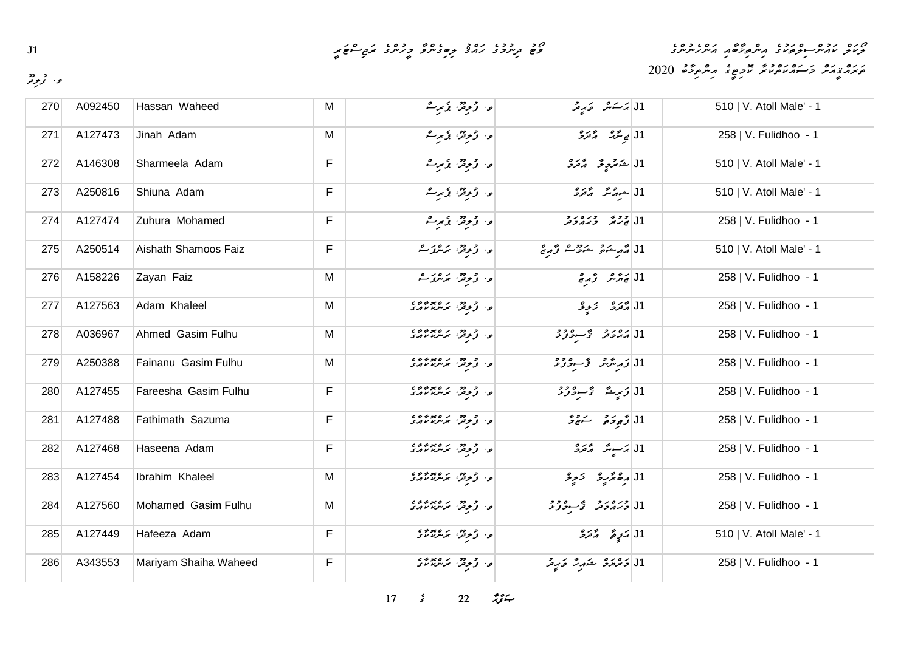*sCw7q7s5w7m< o<n9nOoAw7o< sCq;mAwBoEw7q<m; wBm;vB* م من المرة المرة المرة المرجع المرجع في المركبة 2020<br>مجم*د المريض المربوط المربع المرجع في المراجع المركبة* 

| 270 | A092450 | Hassan Waheed         | M | <sub>ی</sub> . وُمِرِیْرُ، وَمَرِتْ | J1   يَرْسَسْ         وَرِيْرٌ            | 510   V. Atoll Male' - 1 |
|-----|---------|-----------------------|---|-------------------------------------|-------------------------------------------|--------------------------|
| 271 | A127473 | Jinah Adam            | M | ە . ۇرۇش ، ئۇ بېرىشە                | 11   <i>ي مَدَّدْ – مُ</i> قرَّدُ         | 258   V. Fulidhoo - 1    |
| 272 | A146308 | Sharmeela Adam        | F | ه وتوفر ومرت                        | J1 ڪمر <i>چو ڏهو</i> گ                    | 510   V. Atoll Male' - 1 |
| 273 | A250816 | Shiuna Adam           | F | ه وتونژ ویرت                        | 1ل جوړ <i>نگه مخ</i> ترم                  | 510   V. Atoll Male' - 1 |
| 274 | A127474 | Zuhura Mohamed        | F | ء وقوقة ومرت                        | J1 ج ح مجمد حده د د د                     | 258   V. Fulidhoo - 1    |
| 275 | A250514 | Aishath Shamoos Faiz  | F | ە بۇ قرىق ئەش <i>ۇ</i> ش            | 1ل مەم ئىشىمە ئىشرىقى ئەرى <i>ج</i>       | 510   V. Atoll Male' - 1 |
| 276 | A158226 | Zayan Faiz            | M | ە . ۇرەش بۇشۇپ                      | 1ل ئى <sub>قرىشى</sub> ئ <sub>ۇرى</sub> ج | 258   V. Fulidhoo - 1    |
| 277 | A127563 | Adam Khaleel          | M | ه و دو ره ده ده د                   | J1 م <i>مَّة ذوِوْ</i>                    | 258   V. Fulidhoo - 1    |
| 278 | A036967 | Ahmed Gasim Fulhu     | M | פי ציבה ממממות בי                   | J1   ئەرىخە ئۇسىۋۇر                       | 258   V. Fulidhoo - 1    |
| 279 | A250388 | Fainanu Gasim Fulhu   | M | ه و دو ره ده ده.<br>د و دن          | 11 <i>ۆم مەڭدىن</i> ئۇسى <i>رە د</i> و    | 258   V. Fulidhoo - 1    |
| 280 | A127455 | Fareesha Gasim Fulhu  | F | ه و دو ره ده ده.<br>د و دن          | 1ل ۇمرىش ئۇس <i>وۋۇ</i> ر                 | 258   V. Fulidhoo - 1    |
| 281 | A127488 | Fathimath Sazuma      | F | ه . و دو.<br>د . و دوش مرس سر سر    | J1 <i>وَّج</i> وحَمْ سَنَّيْحَ            | 258   V. Fulidhoo - 1    |
| 282 | A127468 | Haseena Adam          | F | ه . و دو.<br>د . و دوش موسر ۱۸۷۷ و  |                                           | 258   V. Fulidhoo - 1    |
| 283 | A127454 | Ibrahim Khaleel       | M | ه و دو ره ده ده د                   | J1 <sub>م</sub> ەنگەر ئىچى                | 258   V. Fulidhoo - 1    |
| 284 | A127560 | Mohamed Gasim Fulhu   | M | ه و دو ره دود و                     | J1 <i>ۋىزودۇ</i> ئ <sup>ې</sup> بورۇ      | 258   V. Fulidhoo - 1    |
| 285 | A127449 | Hafeeza Adam          | F | ه وجود بره برده                     | 1ل  <i>ټوپوگە م</i> گ <i>تر</i> ۇ         | 510   V. Atoll Male' - 1 |
| 286 | A343553 | Mariyam Shaiha Waheed | F | ه و دو بره بوده و                   | U ئ <i>ۇنىڭ خەر ئىكى</i> رىم              | 258   V. Fulidhoo - 1    |

 $17$  *s*  $22$   $29$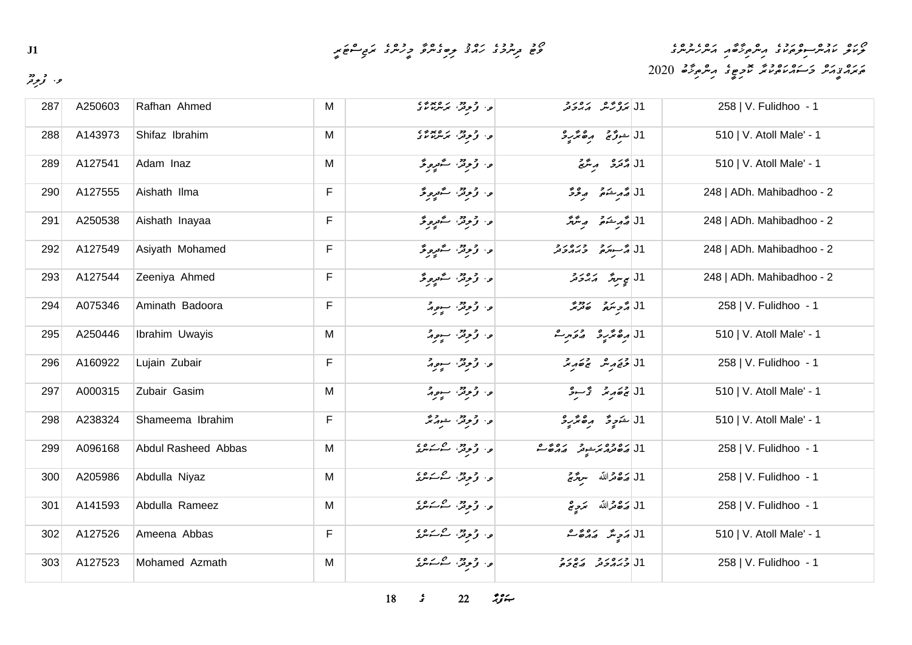*sCw7q7s5w7m< o<n9nOoAw7o< sCq;mAwBoEw7q<m; wBm;vB* م من المرة المرة المرة المرجع المرجع في المركبة 2020<br>مجم*د المريض المربوط المربع المرجع في المراجع المركبة* 

| 287 | A250603 | Rafhan Ahmed        | M           | ه وجود پره پره د                   | J1 <del>برو</del> ر مصر در در د                            | 258   V. Fulidhoo - 1     |
|-----|---------|---------------------|-------------|------------------------------------|------------------------------------------------------------|---------------------------|
| 288 | A143973 | Shifaz Ibrahim      | M           | ه د ود بره ده ده                   | J1 شورَّى مەھەرچە                                          | 510   V. Atoll Male' - 1  |
| 289 | A127541 | Adam Inaz           | M           | ه· وُمِرْشَ سُمَوِهِ مُحَ          | 1ل م <i>م</i> تر محمد مرسمد بر                             | 510   V. Atoll Male' - 1  |
| 290 | A127555 | Aishath Ilma        | F           | ه· وُمِرْشَ سُمَوِهِ مُحَ          | J1 مەم ھەر ھەر ئەرگەنگە                                    | 248   ADh. Mahibadhoo - 2 |
| 291 | A250538 | Aishath Inayaa      | F           | ه· وُمِرْشَ سُمْوِهِ مُحَ          | J1 مەم ئىكتىر<br>1                                         | 248   ADh. Mahibadhoo - 2 |
| 292 | A127549 | Asiyath Mohamed     | F           | ه . وُمِين سگيرهِ مُحَ             | 11 م <sup>ح</sup> سورة وبرەرد                              | 248   ADh. Mahibadhoo - 2 |
| 293 | A127544 | Zeeniya Ahmed       | $\mathsf F$ | ه· وُمِرْشَ سُمَوِهِ مُحَ          | J1 <sub>مج</sub> سِرَتَہ مَہْدَوَمَّر                      | 248   ADh. Mahibadhoo - 2 |
| 294 | A075346 | Aminath Badoora     | F           | ه ژوند سود                         | J1 أُمَّ صِنَعْ مَصْرَ يَمْرُ                              | 258   V. Fulidhoo - 1     |
| 295 | A250446 | Ibrahim Uwayis      | M           | ه وګونژ، سوړ                       | J1 مەھم <i>گىي</i> ھەمرىشە                                 | 510   V. Atoll Male' - 1  |
| 296 | A160922 | Lujain Zubair       | F           | ه د تووتر، سوه ژ                   | 1ل ت <sub>ح</sub> قے م <i>ب</i> شر ت <u>ح</u> صَم <i>ب</i> | 258   V. Fulidhoo - 1     |
| 297 | A000315 | Zubair Gasim        | M           | ه ژوئژ، سوړ                        | J1 تج <i>ھوبتر</i> تۇس <u>و</u>                            | 510   V. Atoll Male' - 1  |
| 298 | A238324 | Shameema Ibrahim    | F           | ه و توفرش جوړنگر                   | J1 ڪوچ <i>مڻ گرد</i> و                                     | 510   V. Atoll Male' - 1  |
| 299 | A096168 | Abdul Rasheed Abbas | M           | ە · زېږېز، ش <sub>ە</sub> ستەملىكە | 11 كەھەر كەيدىسى ئەرگە ئەھ                                 | 258   V. Fulidhoo - 1     |
| 300 | A205986 | Abdulla Niyaz       | M           | ە بۇ دېر شوشىدى                    | J1 صَرْحَة مِرْاللَّهُ مُسِمَّرَةٍ مِ                      | 258   V. Fulidhoo - 1     |
| 301 | A141593 | Abdulla Rameez      | M           | ە ، ئۇچەش سىمسىرى                  | J1 <i>مَدْهُ قرآللّه مَدَّدِ</i> مَح                       | 258   V. Fulidhoo - 1     |
| 302 | A127526 | Ameena Abbas        | F           | ه . تر وتر، <u>شر شره ، و</u>      | J1 <sub>أ</sub> رَ <sub>حِ</sub> سَّر رَ <i>وَدُهُ فَ</i>  | 510   V. Atoll Male' - 1  |
| 303 | A127523 | Mohamed Azmath      | M           | ه د ورد کرده و                     | 11 <i>دبره د د م</i> ورد                                   | 258   V. Fulidhoo - 1     |

 $18$  *s*  $22$  *n***<sub>s</sub>**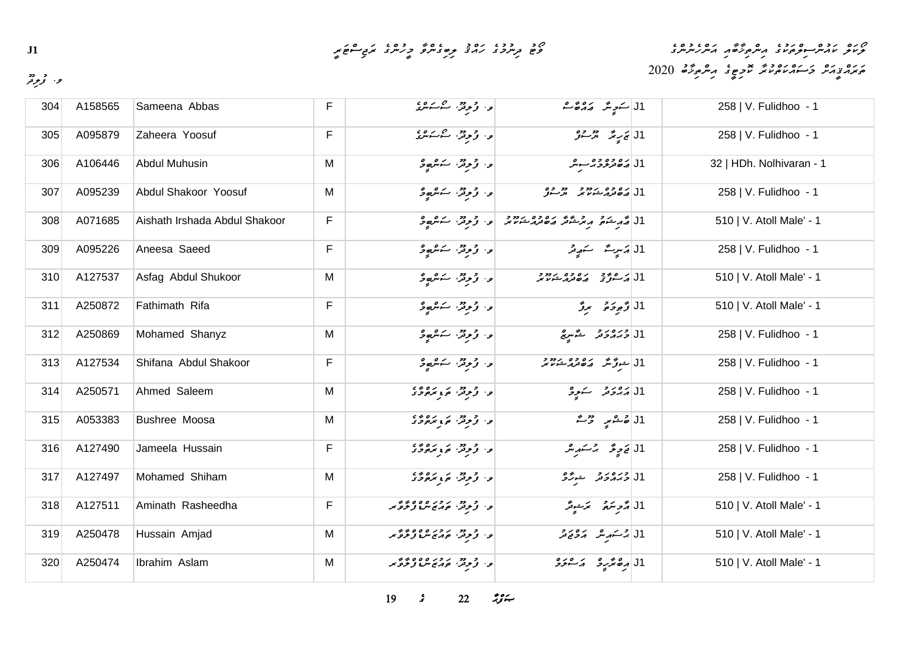*sCw7q7s5w7m< o<n9nOoAw7o< sCq;mAwBoEw7q<m; wBm;vB* م من المرة المرة المرة المرجع المرجع في المركبة 2020<br>مجم*د المريض المربوط المربع المرجع في المراجع المركبة* 

| 304 | A158565 | Sameena Abbas                 | $\mathsf F$ | <sub>و</sub> . وُمُوقِدْ، سُكْسَسْدَدُ                                                                        | J1 سَعِيمٌ <i>مَمْرَةٌ _</i>                                                                                   | 258   V. Fulidhoo - 1    |
|-----|---------|-------------------------------|-------------|---------------------------------------------------------------------------------------------------------------|----------------------------------------------------------------------------------------------------------------|--------------------------|
| 305 | A095879 | Zaheera Yoosuf                | F           | ە · زېږېز، ش <sub>ى</sub> ستىرى                                                                               | 1ل ئ <sub>ى پىر</sub> ىگە تە <u>جرىم</u> ۇ                                                                     | 258   V. Fulidhoo - 1    |
| 306 | A106446 | Abdul Muhusin                 | M           | ه ورود سکره و                                                                                                 | J1 <i>مەھەر ۋە يەمىر</i>                                                                                       | 32   HDh. Nolhivaran - 1 |
| 307 | A095239 | Abdul Shakoor Yoosuf          | M           | أوا وتحوقرا سكس والمحمد                                                                                       | J1 كەھەمبەر ئەمىر بىر بىر بىر بىر بىر بىر ئەسىر                                                                | 258   V. Fulidhoo - 1    |
| 308 | A071685 | Aishath Irshada Abdul Shakoor | $\mathsf F$ |                                                                                                               | 11 محمد شعر مستقر معدد محمد معدا من المحمد المحمد المحمد من المحمد المحمد المحمد المحمد المحمد المحمد المحمد ا | 510   V. Atoll Male' - 1 |
| 309 | A095226 | Aneesa Saeed                  | F           | و وجود ڪي و                                                                                                   | J1 کەسرىس <sup>ى</sup> سەپەتر                                                                                  | 258   V. Fulidhoo - 1    |
| 310 | A127537 | Asfag Abdul Shukoor           | M           | و وجود سکس و                                                                                                  | 1) كەشق ھەھەر مەدە د                                                                                           | 510   V. Atoll Male' - 1 |
| 311 | A250872 | Fathimath Rifa                | F           | ه ورود سکره و                                                                                                 | 1ل <i>وَّجِودَة بِروَّ</i>                                                                                     | 510   V. Atoll Male' - 1 |
| 312 | A250869 | Mohamed Shanyz                | M           | ه ورود سکره و                                                                                                 | J1 <i>ۋېزونز شەمب</i>                                                                                          | 258   V. Fulidhoo - 1    |
| 313 | A127534 | Shifana Abdul Shakoor         | $\mathsf F$ | ه ورود سکره و                                                                                                 | 1) خورش مەھىرمىسىر                                                                                             | 258   V. Fulidhoo - 1    |
| 314 | A250571 | Ahmed Saleem                  | M           | ه . و دو .<br>م . و د تر . ه . مره و د                                                                        | J1 <i>גېرى تې دو</i>                                                                                           | 258   V. Fulidhoo - 1    |
| 315 | A053383 | <b>Bushree Moosa</b>          | M           | و· وفوقرٌ، ئوءٍ برُوفرٌ و                                                                                     | 1ل صفيمبر بر <u>ه ش</u>                                                                                        | 258   V. Fulidhoo - 1    |
| 316 | A127490 | Jameela Hussain               | $\mathsf F$ | ه ووه ره ده ده                                                                                                | J1 <sub>ق</sub> حوِقَ بِرْسَ <sub>م</sub> ِيسْ                                                                 | 258   V. Fulidhoo - 1    |
| 317 | A127497 | Mohamed Shiham                | M           | والمحروض كالمجمع بمرة ولالمي                                                                                  | J1 <i>دېزه دو</i> شو <i>رگ</i> و                                                                               | 258   V. Fulidhoo - 1    |
| 318 | A127511 | Aminath Rasheedha             | F           | و . و و . د د د د ه ه ه و د و .                                                                               | 11 أ <i>مَّ حِ سَعَةٍ</i> مَمَّتٍ مِنَّةٍ                                                                      | 510   V. Atoll Male' - 1 |
| 319 | A250478 | Hussain Amjad                 | M           | و و دوره وره وه و د کار د کار د کار د کار د کار د کار د کار د کار د کار د کار د کار د کار د کار د کار د کار د | J1 بر سَمبر شرح مرد م                                                                                          | 510   V. Atoll Male' - 1 |
| 320 | A250474 | Ibrahim Aslam                 | M           | ه د ورود در ۱۵۵۵ ورم.<br>د از در است استاذ تروگار                                                             | J1 رەئزى <sub>ر</sub> و كەش <i>ۈ</i> ۋ                                                                         | 510   V. Atoll Male' - 1 |

 $19$  *s*  $22$  *n***<sub>s</sub>**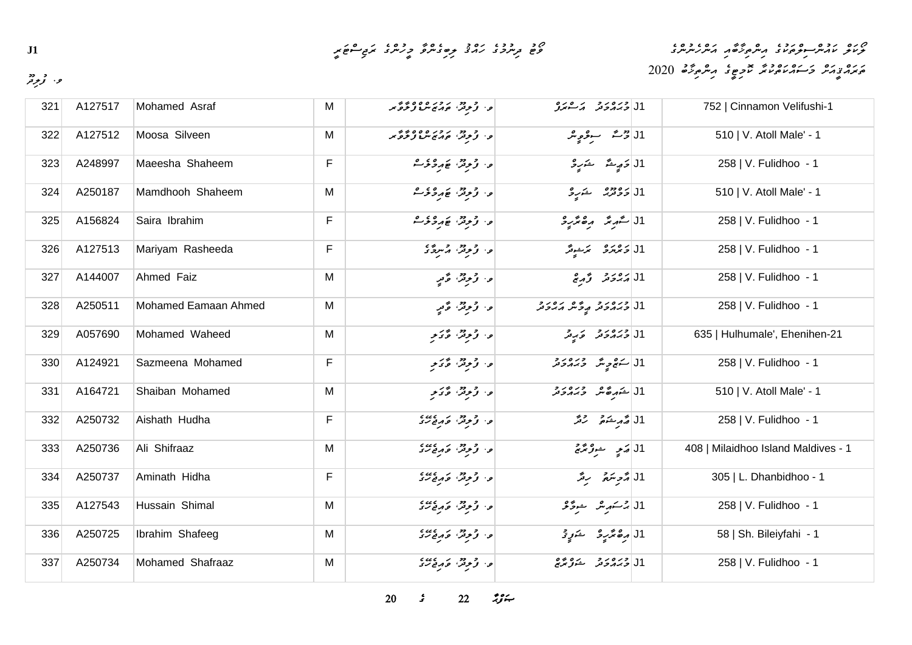*sCw7q7s5w7m< o<n9nOoAw7o< sCq;mAwBoEw7q<m; wBm;vB* م من المرة المرة المرة المرجع المرجع في المركبة 2020<br>مجم*د المريض المربوط المربع المرجع في المراجع المركبة* 

| 321 | A127517 | Mohamed Asraf        | M            | و . و و . د د د و و و و و د                             | J1 <i>دې ده د</i> ه که شم <i>برو</i>               | 752   Cinnamon Velifushi-1          |
|-----|---------|----------------------|--------------|---------------------------------------------------------|----------------------------------------------------|-------------------------------------|
| 322 | A127512 | Moosa Silveen        | M            | ه به وجود به دره ۵۵۵ و.<br>د از وتر، او دی سالۍ تروگوند | J1   جُرْحُمْ سِوْمِ مِرْد                         | 510   V. Atoll Male' - 1            |
| 323 | A248997 | Maeesha Shaheem      | F            | ه و وده عدود ک                                          | 1ل رَمٍىءٌ شَ <i>رِدْ</i>                          | 258   V. Fulidhoo - 1               |
| 324 | A250187 | Mamdhooh Shaheem     | M            | ه و وده عدود ک                                          | J1 دەمەر ئىرگى<br>11 دىمەر ئىرگى                   | 510   V. Atoll Male' - 1            |
| 325 | A156824 | Saira Ibrahim        | F            | ه وتوفر، عدود ع                                         | J1 س <i>ٹمبرنگر م</i> یر <i>میڈی</i> رو            | 258   V. Fulidhoo - 1               |
| 326 | A127513 | Mariyam Rasheeda     | F            | ه . وُمِرْتُرُ ، مُسِرَّدُ                              | J1  <i>د ق</i> مر محر می تر می تر                  | 258   V. Fulidhoo - 1               |
| 327 | A144007 | Ahmed Faiz           | M            | و· وُوِيْنُ گَهِرٍ                                      | J1 <i>مَدْدَوَدْ</i> وَ <i>مِ</i> عْ               | 258   V. Fulidhoo - 1               |
| 328 | A250511 | Mohamed Eamaan Ahmed | M            | و· وُوِيْنُ گَهِرٍ                                      | 11 <i>ديرورو په ده دور</i> و                       | 258   V. Fulidhoo - 1               |
| 329 | A057690 | Mohamed Waheed       | M            | ه· وُمُحِمَّدُ هُ وَمُحَمَّ                             | J1 <i>ۋېزە دۇ ق ب</i> وتر                          | 635   Hulhumale', Ehenihen-21       |
| 330 | A124921 | Sazmeena Mohamed     | $\mathsf F$  | ه· وُمُوتِرٌ، هُ وَمُوَ مِ                              | J1 س <i>نوم ويم دورود</i>                          | 258   V. Fulidhoo - 1               |
| 331 | A164721 | Shaiban Mohamed      | M            | ه· وُمُحِيْرٌ، مُحَمَّحٍ                                | 11 خى <i>ر ھى دى دى</i> رو                         | 510   V. Atoll Male' - 1            |
| 332 | A250732 | Aishath Hudha        | F            | و· وتحويل عمره عمدة                                     | J1 مُەمِسْمَعْ رَمَّدٌ                             | 258   V. Fulidhoo - 1               |
| 333 | A250736 | Ali Shifraaz         | M            | ه . و دو.<br>ه . و و در غهر و در د                      | 1ل پرېو سو <i>ونتر</i> ي                           | 408   Milaidhoo Island Maldives - 1 |
| 334 | A250737 | Aminath Hidha        | F            | ه . و دو.<br>ه . و و در غهر و در د                      | J1 م <i>ُّوسَع</i> ْ رِمَّد                        | 305   L. Dhanbidhoo - 1             |
| 335 | A127543 | Hussain Shimal       | M            | ه . و وحق ، و مربع رو                                   | J1 ئ <i>ے مرنگ ھوگی گ</i>                          | 258   V. Fulidhoo - 1               |
| 336 | A250725 | Ibrahim Shafeeg      | $\mathsf{M}$ | ه . و ود .<br>ه . و وش . و د و ر .                      | J1 <sub>م</sub> ەمگرى <sub>د</sub> ۇ ش <i>وپ</i> ۇ | 58   Sh. Bileiyfahi - 1             |
| 337 | A250734 | Mohamed Shafraaz     | M            | ه . و وه . و و و و و .                                  | 11 <i>دېره دو</i> شو <i>وند</i> ې                  | 258   V. Fulidhoo - 1               |

 $20$  *s*  $22$  *n***<sub>s</sub>** $\frac{2}{5}$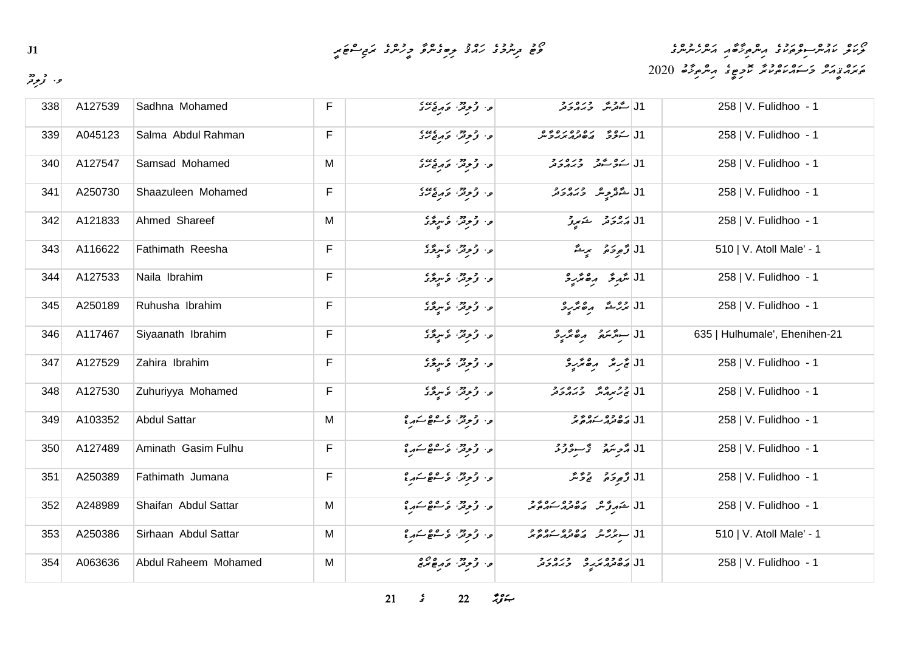*sCw7q7s5w7m< o<n9nOoAw7o< sCq;mAwBoEw7q<m; wBm;vB* م من المرة المرة المرة المرجع المرجع في المركبة 2020<br>مجم*د المريض المربوط المربع المرجع في المراجع المركبة* 

| 338 | A127539 | Sadhna Mohamed       | $\mathsf F$  | ه . و ود .<br>من المحمد عمد المحمد المحمد المحمد المحمد المحمد المحمد المحمد المحمد المحمد المحمد المحمد المحمد ا | J1 گەنزىتر ب <i>ەردەرد</i>     | 258   V. Fulidhoo - 1         |
|-----|---------|----------------------|--------------|-------------------------------------------------------------------------------------------------------------------|--------------------------------|-------------------------------|
| 339 | A045123 | Salma Abdul Rahman   | F            | ه . و وه .<br>من المعرفس المحامر من من المحمد المحمد المحمد المحمد المحمد المحمد المحمد المحمد المحمد المحمد      | J1 كورى ئەھەرمەر ئار           | 258   V. Fulidhoo - 1         |
| 340 | A127547 | Samsad Mohamed       | M            | ه . و دو.<br>ه . و و تر . و د ق ری                                                                                | 11 كەشقەر <i>مەمدەر</i>        | 258   V. Fulidhoo - 1         |
| 341 | A250730 | Shaazuleen Mohamed   | $\mathsf{F}$ | ه . و دو.<br>ه . و و تر . ه د و ر .                                                                               | J1 شۇرىپ <i>دېرەرد</i>         | 258   V. Fulidhoo - 1         |
| 342 | A121833 | Ahmed Shareef        | M            | و· وُفِرْشُ وَسِرْدَى                                                                                             | J1 <i>ג برون</i> ر شمېرتر      | 258   V. Fulidhoo - 1         |
| 343 | A116622 | Fathimath Reesha     | $\mathsf F$  | ه . وُمِينٌ هُ سِرَّةٌ وَ                                                                                         | 1ل <i>وُّهِ دَهُ</i> سِيْسٌ    | 510   V. Atoll Male' - 1      |
| 344 | A127533 | Naila Ibrahim        | F            | و· وُوِيْرُ، وَسِرْدُوْ                                                                                           |                                | 258   V. Fulidhoo - 1         |
| 345 | A250189 | Ruhusha Ibrahim      | $\mathsf F$  | ه . وُمِرْشَ هُ سِرْدَى                                                                                           | J1 بررْجْه مِرْمَّرْدِدْ       | 258   V. Fulidhoo - 1         |
| 346 | A117467 | Siyaanath Ibrahim    | F            | ه . وُمِرْدٌ ، وَسِرْدٌدُ                                                                                         | J1 سو <i>مريندۇ مەھەترى</i> رى | 635   Hulhumale', Ehenihen-21 |
| 347 | A127529 | Zahira Ibrahim       | $\mathsf F$  | ه وتوفر، وسروٌوُ                                                                                                  | J1 ئ <sub>ى</sub> بەش مەھەر بە | 258   V. Fulidhoo - 1         |
| 348 | A127530 | Zuhuriyya Mohamed    | $\mathsf F$  | ه . وُمِنْ وَسِرْدُ                                                                                               | J1 <i>ה לא היא כי סי</i> י     | 258   V. Fulidhoo - 1         |
| 349 | A103352 | <b>Abdul Sattar</b>  | M            | ه . وحوص الله عاصر عليه الله عليه الله عليه الله عليه الله عليه الله عليه الله عليه الله عليه الله ع              | J1 ەھەر مەھ بەر                | 258   V. Fulidhoo - 1         |
| 350 | A127489 | Aminath Gasim Fulhu  | F            | ه . و وفرق الله عن الله عن الله عن الله عن الله عن الله عن الله عن الله عن الله عن الله عن الله عن ا              | J1 مُرْجِعَة وَّسِوْرُ مِّنْ   | 258   V. Fulidhoo - 1         |
| 351 | A250389 | Fathimath Jumana     | $\mathsf F$  | ه . وَمِنْ وَسُعْ سَهْدِهِ                                                                                        | 11 <i>وُّجِوحَ</i> ۾ صَحَّسَ   | 258   V. Fulidhoo - 1         |
| 352 | A248989 | Shaifan Abdul Sattar | M            | ه . وحوقر، وكسفا سكر و                                                                                            | 11 خوروش مەمەرەمەر             | 258   V. Fulidhoo - 1         |
| 353 | A250386 | Sirhaan Abdul Sattar | M            | أوستح وقرقاه وكالصفورة                                                                                            | 11 - دوم د مقدم سم             | 510   V. Atoll Male' - 1      |
| 354 | A063636 | Abdul Raheem Mohamed | M            | ه و و ده ه ده می                                                                                                  | 11 גە دەبر ھەددەر د            | 258   V. Fulidhoo - 1         |

 $21$  *s*  $22$  *n***<sub>s</sub>**